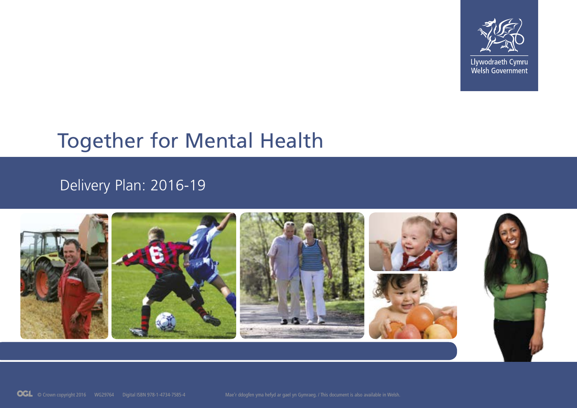

Llywodraeth Cymru Welsh Government

# Together for Mental Health

## Delivery Plan: 2016-19

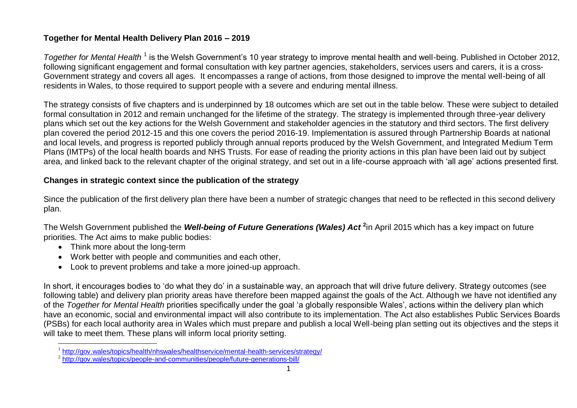#### **Together for Mental Health Delivery Plan 2016 – 2019**

Together for Mental Health<sup>1</sup> is the Welsh Government's 10 year strategy to improve mental health and well-being. Published in October 2012, following significant engagement and formal consultation with key partner agencies, stakeholders, services users and carers, it is a cross-Government strategy and covers all ages. It encompasses a range of actions, from those designed to improve the mental well-being of all residents in Wales, to those required to support people with a severe and enduring mental illness.

The strategy consists of five chapters and is underpinned by 18 outcomes which are set out in the table below. These were subject to detailed formal consultation in 2012 and remain unchanged for the lifetime of the strategy. The strategy is implemented through three-year delivery plans which set out the key actions for the Welsh Government and stakeholder agencies in the statutory and third sectors. The first delivery plan covered the period 2012-15 and this one covers the period 2016-19. Implementation is assured through Partnership Boards at national and local levels, and progress is reported publicly through annual reports produced by the Welsh Government, and Integrated Medium Term Plans (IMTPs) of the local health boards and NHS Trusts. For ease of reading the priority actions in this plan have been laid out by subject area, and linked back to the relevant chapter of the original strategy, and set out in a life-course approach with 'all age' actions presented first.

#### **Changes in strategic context since the publication of the strategy**

Since the publication of the first delivery plan there have been a number of strategic changes that need to be reflected in this second delivery plan.

The Welsh Government published the *Well-being of Future Generations (Wales) Act* **<sup>2</sup>** in April 2015 which has a key impact on future priorities*.* The Act aims to make public bodies:

- Think more about the long-term
- Work better with people and communities and each other,
- Look to prevent problems and take a more joined-up approach.

In short, it encourages bodies to 'do what they do' in a sustainable way, an approach that will drive future delivery. Strategy outcomes (see following table) and delivery plan priority areas have therefore been mapped against the goals of the Act. Although we have not identified any of the *Together for Mental Health* priorities specifically under the goal 'a globally responsible Wales', actions within the delivery plan which have an economic, social and environmental impact will also contribute to its implementation. The Act also establishes Public Services Boards (PSBs) for each local authority area in Wales which must prepare and publish a local Well-being plan setting out its objectives and the steps it will take to meet them. These plans will inform local priority setting.

 1 [http://gov.wales/topics/health/nhswales/healthservice/mental-health-services/strategy/](http://gov.wales/topics/health/nhswales/healthservice/mental-health-services/strategy/?lang=en)

<sup>&</sup>lt;sup>2</sup> <http://gov.wales/topics/people-and-communities/people/future-generations-bill/>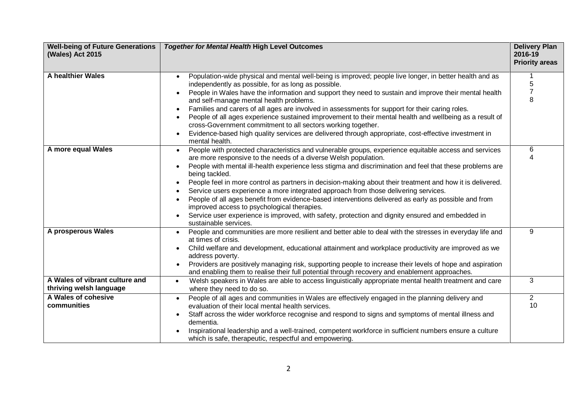| <b>Well-being of Future Generations</b><br>(Wales) Act 2015 | <b>Together for Mental Health High Level Outcomes</b>                                                                                                                                                                                                                                                                                                                                                                                                                                                                                                                                                                                                                                                                                                                                          | <b>Delivery Plan</b><br>2016-19<br><b>Priority areas</b> |
|-------------------------------------------------------------|------------------------------------------------------------------------------------------------------------------------------------------------------------------------------------------------------------------------------------------------------------------------------------------------------------------------------------------------------------------------------------------------------------------------------------------------------------------------------------------------------------------------------------------------------------------------------------------------------------------------------------------------------------------------------------------------------------------------------------------------------------------------------------------------|----------------------------------------------------------|
| <b>A healthier Wales</b>                                    | Population-wide physical and mental well-being is improved; people live longer, in better health and as<br>independently as possible, for as long as possible.<br>People in Wales have the information and support they need to sustain and improve their mental health<br>and self-manage mental health problems.<br>Families and carers of all ages are involved in assessments for support for their caring roles.<br>People of all ages experience sustained improvement to their mental health and wellbeing as a result of<br>cross-Government commitment to all sectors working together.<br>Evidence-based high quality services are delivered through appropriate, cost-effective investment in<br>mental health.                                                                     | 1<br>5<br>$\overline{7}$<br>8                            |
| A more equal Wales                                          | People with protected characteristics and vulnerable groups, experience equitable access and services<br>are more responsive to the needs of a diverse Welsh population.<br>People with mental ill-health experience less stigma and discrimination and feel that these problems are<br>being tackled.<br>People feel in more control as partners in decision-making about their treatment and how it is delivered.<br>Service users experience a more integrated approach from those delivering services.<br>People of all ages benefit from evidence-based interventions delivered as early as possible and from<br>improved access to psychological therapies.<br>Service user experience is improved, with safety, protection and dignity ensured and embedded in<br>sustainable services. | 6                                                        |
| A prosperous Wales                                          | People and communities are more resilient and better able to deal with the stresses in everyday life and<br>$\bullet$<br>at times of crisis.<br>Child welfare and development, educational attainment and workplace productivity are improved as we<br>address poverty.<br>Providers are positively managing risk, supporting people to increase their levels of hope and aspiration<br>and enabling them to realise their full potential through recovery and enablement approaches.                                                                                                                                                                                                                                                                                                          | 9                                                        |
| A Wales of vibrant culture and<br>thriving welsh language   | Welsh speakers in Wales are able to access linguistically appropriate mental health treatment and care<br>where they need to do so.                                                                                                                                                                                                                                                                                                                                                                                                                                                                                                                                                                                                                                                            | 3                                                        |
| A Wales of cohesive<br>communities                          | People of all ages and communities in Wales are effectively engaged in the planning delivery and<br>$\bullet$<br>evaluation of their local mental health services.<br>Staff across the wider workforce recognise and respond to signs and symptoms of mental illness and<br>dementia.<br>Inspirational leadership and a well-trained, competent workforce in sufficient numbers ensure a culture<br>which is safe, therapeutic, respectful and empowering.                                                                                                                                                                                                                                                                                                                                     | $\overline{2}$<br>10                                     |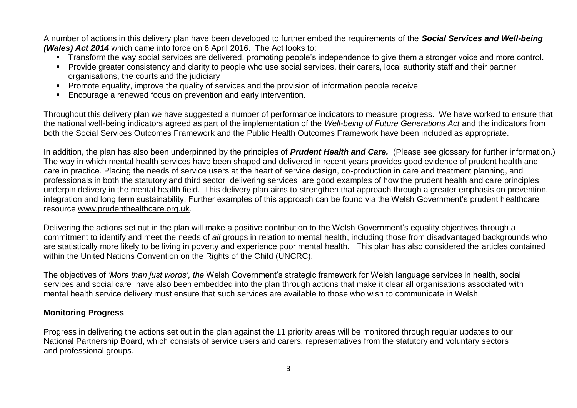A number of actions in this delivery plan have been developed to further embed the requirements of the *Social Services and Well-being (Wales) Act 2014* which came into force on 6 April 2016. The Act looks to:

- **Transform the way social services are delivered, promoting people's independence to give them a stronger voice and more control.**
- Provide greater consistency and clarity to people who use social services, their carers, local authority staff and their partner organisations, the courts and the judiciary
- **Promote equality, improve the quality of services and the provision of information people receive**
- Encourage a renewed focus on prevention and early intervention.

Throughout this delivery plan we have suggested a number of performance indicators to measure progress. We have worked to ensure that the national well-being indicators agreed as part of the implementation of the *Well-being of Future Generations Act* and the indicators from both the Social Services Outcomes Framework and the Public Health Outcomes Framework have been included as appropriate.

In addition, the plan has also been underpinned by the principles of *Prudent Health and Care.* (Please see glossary for further information.) The way in which mental health services have been shaped and delivered in recent years provides good evidence of prudent health and care in practice. Placing the needs of service users at the heart of service design, co-production in care and treatment planning, and professionals in both the statutory and third sector delivering services are good examples of how the prudent health and care principles underpin delivery in the mental health field. This delivery plan aims to strengthen that approach through a greater emphasis on prevention, integration and long term sustainability. Further examples of this approach can be found via the Welsh Government's prudent healthcare resource [www.prudenthealthcare.org.uk.](http://www.prudenthealthcare.org.uk/)

Delivering the actions set out in the plan will make a positive contribution to the Welsh Government's equality objectives through a commitment to identify and meet the needs of *all* groups in relation to mental health, including those from disadvantaged backgrounds who are statistically more likely to be living in poverty and experience poor mental health. This plan has also considered the articles contained within the United Nations Convention on the Rights of the Child (UNCRC).

The objectives of *'More than just words', the* Welsh Government's strategic framework for Welsh language services in health, social services and social care have also been embedded into the plan through actions that make it clear all organisations associated with mental health service delivery must ensure that such services are available to those who wish to communicate in Welsh.

#### **Monitoring Progress**

Progress in delivering the actions set out in the plan against the 11 priority areas will be monitored through regular updates to our National Partnership Board, which consists of service users and carers, representatives from the statutory and voluntary sectors and professional groups.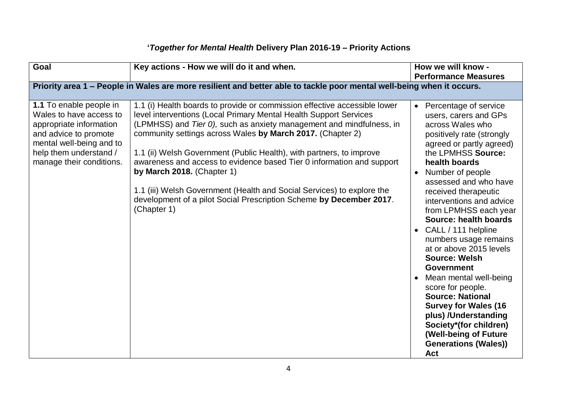| <b>Goal</b>                                                                                                                                                                              | Key actions - How we will do it and when.                                                                                                                                                                                                                                                                                                                                                                                                                                                                                                                                                                                           | How we will know -<br><b>Performance Measures</b>                                                                                                                                                                                                                                                                                                                                                                                                                                                                                                                                                                                                                                                 |
|------------------------------------------------------------------------------------------------------------------------------------------------------------------------------------------|-------------------------------------------------------------------------------------------------------------------------------------------------------------------------------------------------------------------------------------------------------------------------------------------------------------------------------------------------------------------------------------------------------------------------------------------------------------------------------------------------------------------------------------------------------------------------------------------------------------------------------------|---------------------------------------------------------------------------------------------------------------------------------------------------------------------------------------------------------------------------------------------------------------------------------------------------------------------------------------------------------------------------------------------------------------------------------------------------------------------------------------------------------------------------------------------------------------------------------------------------------------------------------------------------------------------------------------------------|
|                                                                                                                                                                                          | Priority area 1 - People in Wales are more resilient and better able to tackle poor mental well-being when it occurs.                                                                                                                                                                                                                                                                                                                                                                                                                                                                                                               |                                                                                                                                                                                                                                                                                                                                                                                                                                                                                                                                                                                                                                                                                                   |
| 1.1 To enable people in<br>Wales to have access to<br>appropriate information<br>and advice to promote<br>mental well-being and to<br>help them understand /<br>manage their conditions. | 1.1 (i) Health boards to provide or commission effective accessible lower<br>level interventions (Local Primary Mental Health Support Services<br>(LPMHSS) and Tier 0), such as anxiety management and mindfulness, in<br>community settings across Wales by March 2017. (Chapter 2)<br>1.1 (ii) Welsh Government (Public Health), with partners, to improve<br>awareness and access to evidence based Tier 0 information and support<br>by March 2018. (Chapter 1)<br>1.1 (iii) Welsh Government (Health and Social Services) to explore the<br>development of a pilot Social Prescription Scheme by December 2017.<br>(Chapter 1) | Percentage of service<br>$\bullet$<br>users, carers and GPs<br>across Wales who<br>positively rate (strongly<br>agreed or partly agreed)<br>the LPMHSS Source:<br>health boards<br>Number of people<br>$\bullet$<br>assessed and who have<br>received therapeutic<br>interventions and advice<br>from LPMHSS each year<br>Source: health boards<br>CALL / 111 helpline<br>numbers usage remains<br>at or above 2015 levels<br><b>Source: Welsh</b><br><b>Government</b><br>Mean mental well-being<br>score for people.<br><b>Source: National</b><br><b>Survey for Wales (16</b><br>plus) /Understanding<br>Society*(for children)<br>(Well-being of Future<br><b>Generations (Wales))</b><br>Act |

### **'***Together for Mental Health* **Delivery Plan 2016-19 – Priority Actions**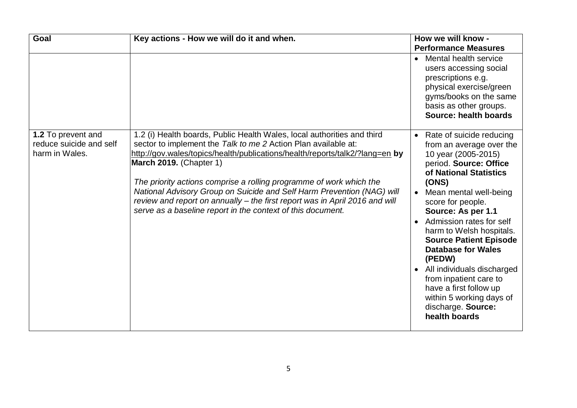| <b>Goal</b>                                                     | Key actions - How we will do it and when.                                                                                                                                                                                                                                                                                                                                                                                                                                                                                                                  | How we will know -                                                                                                                                                                                                                                                                                                                                                                                                                                                                                                                                     |
|-----------------------------------------------------------------|------------------------------------------------------------------------------------------------------------------------------------------------------------------------------------------------------------------------------------------------------------------------------------------------------------------------------------------------------------------------------------------------------------------------------------------------------------------------------------------------------------------------------------------------------------|--------------------------------------------------------------------------------------------------------------------------------------------------------------------------------------------------------------------------------------------------------------------------------------------------------------------------------------------------------------------------------------------------------------------------------------------------------------------------------------------------------------------------------------------------------|
|                                                                 |                                                                                                                                                                                                                                                                                                                                                                                                                                                                                                                                                            | <b>Performance Measures</b>                                                                                                                                                                                                                                                                                                                                                                                                                                                                                                                            |
|                                                                 |                                                                                                                                                                                                                                                                                                                                                                                                                                                                                                                                                            | Mental health service<br>$\bullet$<br>users accessing social<br>prescriptions e.g.<br>physical exercise/green<br>gyms/books on the same<br>basis as other groups.<br>Source: health boards                                                                                                                                                                                                                                                                                                                                                             |
| 1.2 To prevent and<br>reduce suicide and self<br>harm in Wales. | 1.2 (i) Health boards, Public Health Wales, local authorities and third<br>sector to implement the Talk to me 2 Action Plan available at:<br>http://gov.wales/topics/health/publications/health/reports/talk2/?lang=en by<br><b>March 2019.</b> (Chapter 1)<br>The priority actions comprise a rolling programme of work which the<br>National Advisory Group on Suicide and Self Harm Prevention (NAG) will<br>review and report on annually – the first report was in April 2016 and will<br>serve as a baseline report in the context of this document. | Rate of suicide reducing<br>$\bullet$<br>from an average over the<br>10 year (2005-2015)<br>period. Source: Office<br>of National Statistics<br>(ONS)<br>Mean mental well-being<br>$\bullet$<br>score for people.<br>Source: As per 1.1<br>Admission rates for self<br>$\bullet$<br>harm to Welsh hospitals.<br><b>Source Patient Episode</b><br><b>Database for Wales</b><br>(PEDW)<br>All individuals discharged<br>$\bullet$<br>from inpatient care to<br>have a first follow up<br>within 5 working days of<br>discharge. Source:<br>health boards |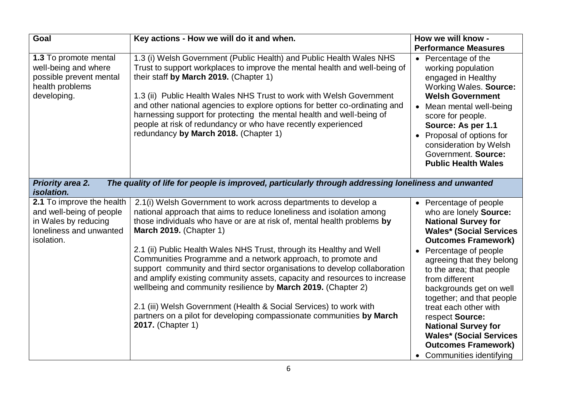| Goal                                                                                                                   | Key actions - How we will do it and when.                                                                                                                                                                                                                                                                                                                                                                                                                                                                                              | How we will know -                                                                                                                                                                                                                                                                                               |
|------------------------------------------------------------------------------------------------------------------------|----------------------------------------------------------------------------------------------------------------------------------------------------------------------------------------------------------------------------------------------------------------------------------------------------------------------------------------------------------------------------------------------------------------------------------------------------------------------------------------------------------------------------------------|------------------------------------------------------------------------------------------------------------------------------------------------------------------------------------------------------------------------------------------------------------------------------------------------------------------|
|                                                                                                                        |                                                                                                                                                                                                                                                                                                                                                                                                                                                                                                                                        | <b>Performance Measures</b>                                                                                                                                                                                                                                                                                      |
| 1.3 To promote mental<br>well-being and where<br>possible prevent mental<br>health problems<br>developing.             | 1.3 (i) Welsh Government (Public Health) and Public Health Wales NHS<br>Trust to support workplaces to improve the mental health and well-being of<br>their staff by March 2019. (Chapter 1)<br>1.3 (ii) Public Health Wales NHS Trust to work with Welsh Government<br>and other national agencies to explore options for better co-ordinating and<br>harnessing support for protecting the mental health and well-being of<br>people at risk of redundancy or who have recently experienced<br>redundancy by March 2018. (Chapter 1) | • Percentage of the<br>working population<br>engaged in Healthy<br>Working Wales. Source:<br><b>Welsh Government</b><br>Mean mental well-being<br>score for people.<br>Source: As per 1.1<br>Proposal of options for<br>$\bullet$<br>consideration by Welsh<br>Government. Source:<br><b>Public Health Wales</b> |
| <b>Priority area 2.</b><br>isolation.                                                                                  | The quality of life for people is improved, particularly through addressing loneliness and unwanted                                                                                                                                                                                                                                                                                                                                                                                                                                    |                                                                                                                                                                                                                                                                                                                  |
| 2.1 To improve the health<br>and well-being of people<br>in Wales by reducing<br>loneliness and unwanted<br>isolation. | 2.1(i) Welsh Government to work across departments to develop a<br>national approach that aims to reduce loneliness and isolation among<br>those individuals who have or are at risk of, mental health problems by<br><b>March 2019.</b> (Chapter 1)<br>2.1 (ii) Public Health Wales NHS Trust, through its Healthy and Well                                                                                                                                                                                                           | Percentage of people<br>who are lonely Source:<br><b>National Survey for</b><br><b>Wales* (Social Services</b><br><b>Outcomes Framework)</b><br>Percentage of people                                                                                                                                             |
|                                                                                                                        | Communities Programme and a network approach, to promote and<br>support community and third sector organisations to develop collaboration<br>and amplify existing community assets, capacity and resources to increase<br>wellbeing and community resilience by March 2019. (Chapter 2)                                                                                                                                                                                                                                                | agreeing that they belong<br>to the area; that people<br>from different<br>backgrounds get on well<br>together; and that people                                                                                                                                                                                  |
|                                                                                                                        | 2.1 (iii) Welsh Government (Health & Social Services) to work with<br>partners on a pilot for developing compassionate communities by March<br>2017. (Chapter 1)                                                                                                                                                                                                                                                                                                                                                                       | treat each other with<br>respect Source:<br><b>National Survey for</b>                                                                                                                                                                                                                                           |
|                                                                                                                        |                                                                                                                                                                                                                                                                                                                                                                                                                                                                                                                                        | <b>Wales* (Social Services</b><br><b>Outcomes Framework)</b>                                                                                                                                                                                                                                                     |
|                                                                                                                        |                                                                                                                                                                                                                                                                                                                                                                                                                                                                                                                                        | Communities identifying                                                                                                                                                                                                                                                                                          |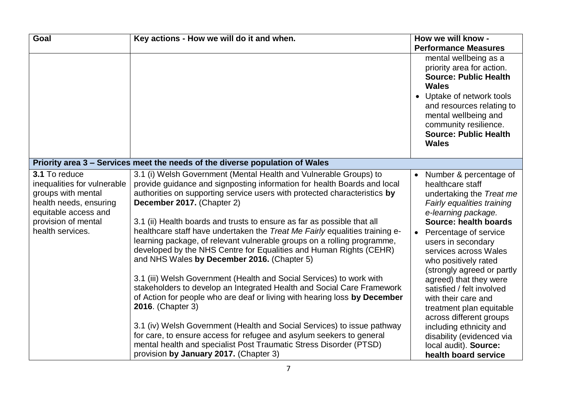| Goal                                                                                                                                                            | Key actions - How we will do it and when.                                                                                                                                                                                                                                                                                                                                                                                                                                                                                                                                                                                                                                                                                                                                                                                                                                                                                                                                                                                                                                                                                                 | How we will know -                                                                                                                                                                                                                                                                                                                                                                                                                                                                                                                            |
|-----------------------------------------------------------------------------------------------------------------------------------------------------------------|-------------------------------------------------------------------------------------------------------------------------------------------------------------------------------------------------------------------------------------------------------------------------------------------------------------------------------------------------------------------------------------------------------------------------------------------------------------------------------------------------------------------------------------------------------------------------------------------------------------------------------------------------------------------------------------------------------------------------------------------------------------------------------------------------------------------------------------------------------------------------------------------------------------------------------------------------------------------------------------------------------------------------------------------------------------------------------------------------------------------------------------------|-----------------------------------------------------------------------------------------------------------------------------------------------------------------------------------------------------------------------------------------------------------------------------------------------------------------------------------------------------------------------------------------------------------------------------------------------------------------------------------------------------------------------------------------------|
|                                                                                                                                                                 |                                                                                                                                                                                                                                                                                                                                                                                                                                                                                                                                                                                                                                                                                                                                                                                                                                                                                                                                                                                                                                                                                                                                           | <b>Performance Measures</b>                                                                                                                                                                                                                                                                                                                                                                                                                                                                                                                   |
|                                                                                                                                                                 |                                                                                                                                                                                                                                                                                                                                                                                                                                                                                                                                                                                                                                                                                                                                                                                                                                                                                                                                                                                                                                                                                                                                           | mental wellbeing as a<br>priority area for action.<br><b>Source: Public Health</b><br>Wales<br>Uptake of network tools<br>and resources relating to<br>mental wellbeing and<br>community resilience.<br><b>Source: Public Health</b><br><b>Wales</b>                                                                                                                                                                                                                                                                                          |
|                                                                                                                                                                 | Priority area 3 - Services meet the needs of the diverse population of Wales                                                                                                                                                                                                                                                                                                                                                                                                                                                                                                                                                                                                                                                                                                                                                                                                                                                                                                                                                                                                                                                              |                                                                                                                                                                                                                                                                                                                                                                                                                                                                                                                                               |
| 3.1 To reduce<br>inequalities for vulnerable<br>groups with mental<br>health needs, ensuring<br>equitable access and<br>provision of mental<br>health services. | 3.1 (i) Welsh Government (Mental Health and Vulnerable Groups) to<br>provide guidance and signposting information for health Boards and local<br>authorities on supporting service users with protected characteristics by<br>December 2017. (Chapter 2)<br>3.1 (ii) Health boards and trusts to ensure as far as possible that all<br>healthcare staff have undertaken the Treat Me Fairly equalities training e-<br>learning package, of relevant vulnerable groups on a rolling programme,<br>developed by the NHS Centre for Equalities and Human Rights (CEHR)<br>and NHS Wales by December 2016. (Chapter 5)<br>3.1 (iii) Welsh Government (Health and Social Services) to work with<br>stakeholders to develop an Integrated Health and Social Care Framework<br>of Action for people who are deaf or living with hearing loss by December<br>2016. (Chapter 3)<br>3.1 (iv) Welsh Government (Health and Social Services) to issue pathway<br>for care, to ensure access for refugee and asylum seekers to general<br>mental health and specialist Post Traumatic Stress Disorder (PTSD)<br>provision by January 2017. (Chapter 3) | Number & percentage of<br>$\bullet$<br>healthcare staff<br>undertaking the Treat me<br>Fairly equalities training<br>e-learning package.<br>Source: health boards<br>Percentage of service<br>users in secondary<br>services across Wales<br>who positively rated<br>(strongly agreed or partly<br>agreed) that they were<br>satisfied / felt involved<br>with their care and<br>treatment plan equitable<br>across different groups<br>including ethnicity and<br>disability (evidenced via<br>local audit). Source:<br>health board service |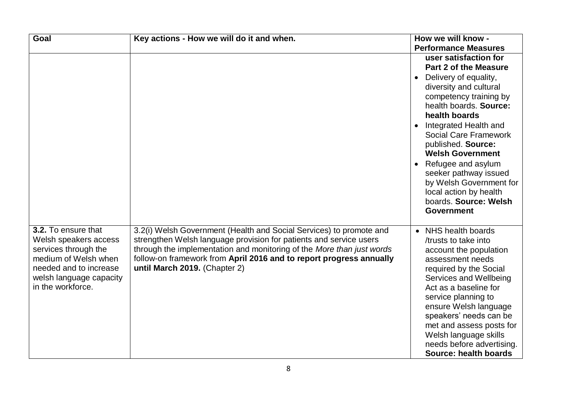| Goal                                                                                                                                                                   | Key actions - How we will do it and when.                                                                                                                                                                                                                                                                                  | How we will know -                                                                                                                                                                                                                                                                                                                                                                                                                                                               |
|------------------------------------------------------------------------------------------------------------------------------------------------------------------------|----------------------------------------------------------------------------------------------------------------------------------------------------------------------------------------------------------------------------------------------------------------------------------------------------------------------------|----------------------------------------------------------------------------------------------------------------------------------------------------------------------------------------------------------------------------------------------------------------------------------------------------------------------------------------------------------------------------------------------------------------------------------------------------------------------------------|
|                                                                                                                                                                        |                                                                                                                                                                                                                                                                                                                            | <b>Performance Measures</b>                                                                                                                                                                                                                                                                                                                                                                                                                                                      |
|                                                                                                                                                                        |                                                                                                                                                                                                                                                                                                                            | user satisfaction for<br><b>Part 2 of the Measure</b><br>Delivery of equality,<br>$\bullet$<br>diversity and cultural<br>competency training by<br>health boards. Source:<br>health boards<br>Integrated Health and<br>$\bullet$<br><b>Social Care Framework</b><br>published. Source:<br><b>Welsh Government</b><br>Refugee and asylum<br>$\bullet$<br>seeker pathway issued<br>by Welsh Government for<br>local action by health<br>boards. Source: Welsh<br><b>Government</b> |
| 3.2. To ensure that<br>Welsh speakers access<br>services through the<br>medium of Welsh when<br>needed and to increase<br>welsh language capacity<br>in the workforce. | 3.2(i) Welsh Government (Health and Social Services) to promote and<br>strengthen Welsh language provision for patients and service users<br>through the implementation and monitoring of the More than just words<br>follow-on framework from April 2016 and to report progress annually<br>until March 2019. (Chapter 2) | • NHS health boards<br>/trusts to take into<br>account the population<br>assessment needs<br>required by the Social<br>Services and Wellbeing<br>Act as a baseline for<br>service planning to<br>ensure Welsh language<br>speakers' needs can be<br>met and assess posts for<br>Welsh language skills<br>needs before advertising.<br>Source: health boards                                                                                                                      |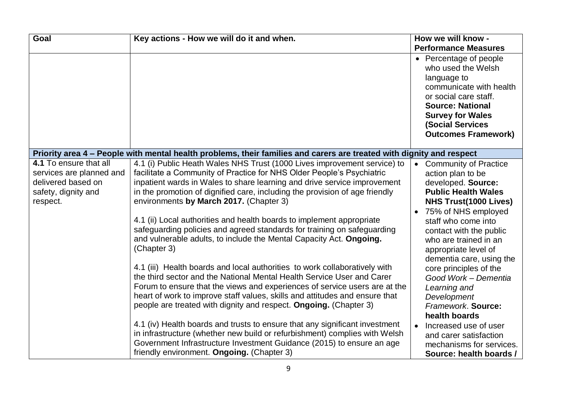| Goal                                                                                                        | Key actions - How we will do it and when.                                                                                                                                                                                                                                                                                                                                                                                                                                                                                                                                                                                                                                                                                                                                                                                               | How we will know -                                                                                                                                                                                                                                                                                                                                                                      |
|-------------------------------------------------------------------------------------------------------------|-----------------------------------------------------------------------------------------------------------------------------------------------------------------------------------------------------------------------------------------------------------------------------------------------------------------------------------------------------------------------------------------------------------------------------------------------------------------------------------------------------------------------------------------------------------------------------------------------------------------------------------------------------------------------------------------------------------------------------------------------------------------------------------------------------------------------------------------|-----------------------------------------------------------------------------------------------------------------------------------------------------------------------------------------------------------------------------------------------------------------------------------------------------------------------------------------------------------------------------------------|
|                                                                                                             |                                                                                                                                                                                                                                                                                                                                                                                                                                                                                                                                                                                                                                                                                                                                                                                                                                         | <b>Performance Measures</b>                                                                                                                                                                                                                                                                                                                                                             |
|                                                                                                             |                                                                                                                                                                                                                                                                                                                                                                                                                                                                                                                                                                                                                                                                                                                                                                                                                                         | • Percentage of people<br>who used the Welsh<br>language to<br>communicate with health<br>or social care staff.<br><b>Source: National</b><br><b>Survey for Wales</b><br><b>(Social Services</b><br><b>Outcomes Framework)</b>                                                                                                                                                          |
|                                                                                                             | Priority area 4 – People with mental health problems, their families and carers are treated with dignity and respect                                                                                                                                                                                                                                                                                                                                                                                                                                                                                                                                                                                                                                                                                                                    |                                                                                                                                                                                                                                                                                                                                                                                         |
| 4.1 To ensure that all<br>services are planned and<br>delivered based on<br>safety, dignity and<br>respect. | 4.1 (i) Public Heath Wales NHS Trust (1000 Lives improvement service) to<br>facilitate a Community of Practice for NHS Older People's Psychiatric<br>inpatient wards in Wales to share learning and drive service improvement<br>in the promotion of dignified care, including the provision of age friendly<br>environments by March 2017. (Chapter 3)<br>4.1 (ii) Local authorities and health boards to implement appropriate<br>safeguarding policies and agreed standards for training on safeguarding<br>and vulnerable adults, to include the Mental Capacity Act. Ongoing.<br>(Chapter 3)<br>4.1 (iii) Health boards and local authorities to work collaboratively with<br>the third sector and the National Mental Health Service User and Carer<br>Forum to ensure that the views and experiences of service users are at the | <b>Community of Practice</b><br>$\bullet$<br>action plan to be<br>developed. Source:<br><b>Public Health Wales</b><br><b>NHS Trust(1000 Lives)</b><br>75% of NHS employed<br>$\bullet$<br>staff who come into<br>contact with the public<br>who are trained in an<br>appropriate level of<br>dementia care, using the<br>core principles of the<br>Good Work - Dementia<br>Learning and |
|                                                                                                             | heart of work to improve staff values, skills and attitudes and ensure that<br>people are treated with dignity and respect. Ongoing. (Chapter 3)<br>4.1 (iv) Health boards and trusts to ensure that any significant investment<br>in infrastructure (whether new build or refurbishment) complies with Welsh<br>Government Infrastructure Investment Guidance (2015) to ensure an age                                                                                                                                                                                                                                                                                                                                                                                                                                                  | Development<br>Framework. Source:<br>health boards<br>Increased use of user<br>$\bullet$<br>and carer satisfaction                                                                                                                                                                                                                                                                      |
|                                                                                                             | friendly environment. Ongoing. (Chapter 3)                                                                                                                                                                                                                                                                                                                                                                                                                                                                                                                                                                                                                                                                                                                                                                                              | mechanisms for services.<br>Source: health boards /                                                                                                                                                                                                                                                                                                                                     |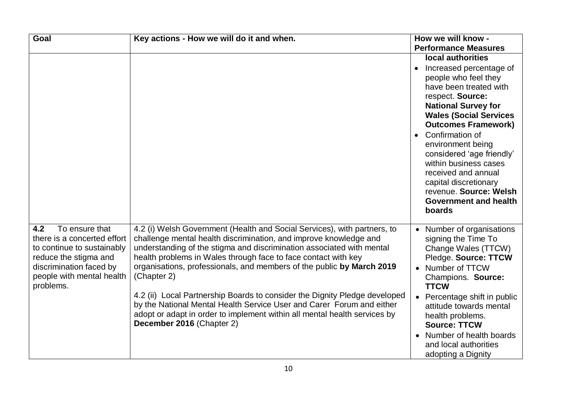| Goal                                                                                                                                                                             | Key actions - How we will do it and when.                                                                                                                                                                                                                                                                                                                                                                                                                                                                                                                                                                            | How we will know -                                                                                                                                                                                                                |
|----------------------------------------------------------------------------------------------------------------------------------------------------------------------------------|----------------------------------------------------------------------------------------------------------------------------------------------------------------------------------------------------------------------------------------------------------------------------------------------------------------------------------------------------------------------------------------------------------------------------------------------------------------------------------------------------------------------------------------------------------------------------------------------------------------------|-----------------------------------------------------------------------------------------------------------------------------------------------------------------------------------------------------------------------------------|
|                                                                                                                                                                                  |                                                                                                                                                                                                                                                                                                                                                                                                                                                                                                                                                                                                                      | <b>Performance Measures</b>                                                                                                                                                                                                       |
|                                                                                                                                                                                  |                                                                                                                                                                                                                                                                                                                                                                                                                                                                                                                                                                                                                      | local authorities                                                                                                                                                                                                                 |
|                                                                                                                                                                                  |                                                                                                                                                                                                                                                                                                                                                                                                                                                                                                                                                                                                                      | Increased percentage of<br>people who feel they<br>have been treated with<br>respect. Source:<br><b>National Survey for</b><br><b>Wales (Social Services</b><br><b>Outcomes Framework)</b>                                        |
|                                                                                                                                                                                  |                                                                                                                                                                                                                                                                                                                                                                                                                                                                                                                                                                                                                      | Confirmation of<br>$\bullet$<br>environment being<br>considered 'age friendly'<br>within business cases<br>received and annual<br>capital discretionary<br>revenue. Source: Welsh<br><b>Government and health</b><br>boards       |
| 4.2<br>To ensure that<br>there is a concerted effort<br>to continue to sustainably<br>reduce the stigma and<br>discrimination faced by<br>people with mental health<br>problems. | 4.2 (i) Welsh Government (Health and Social Services), with partners, to<br>challenge mental health discrimination, and improve knowledge and<br>understanding of the stigma and discrimination associated with mental<br>health problems in Wales through face to face contact with key<br>organisations, professionals, and members of the public by March 2019<br>(Chapter 2)<br>4.2 (ii) Local Partnership Boards to consider the Dignity Pledge developed<br>by the National Mental Health Service User and Carer Forum and either<br>adopt or adapt in order to implement within all mental health services by | Number of organisations<br>signing the Time To<br>Change Wales (TTCW)<br>Pledge. Source: TTCW<br>Number of TTCW<br>Champions. Source:<br><b>TTCW</b><br>Percentage shift in public<br>attitude towards mental<br>health problems. |
|                                                                                                                                                                                  | December 2016 (Chapter 2)                                                                                                                                                                                                                                                                                                                                                                                                                                                                                                                                                                                            | <b>Source: TTCW</b><br>Number of health boards<br>$\bullet$<br>and local authorities<br>adopting a Dignity                                                                                                                        |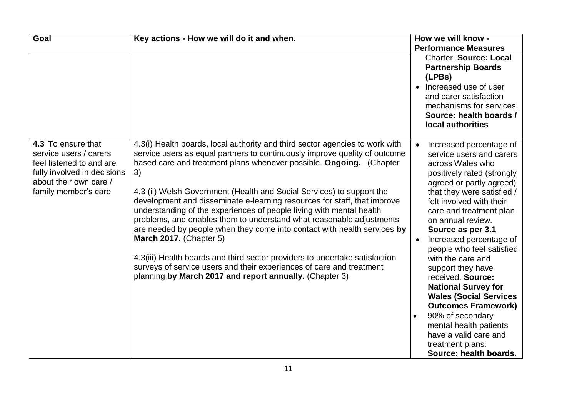| Goal                                                                                                                                                      | Key actions - How we will do it and when.                                                                                                                                                                                                                                                                                                                                                                                                                                                                                                                                                                                                                                                                                                                                                                                                                                    | How we will know -                                                                                                                                                                                                                                                                                                                                                                                                                                                                                                                                                                                                                  |
|-----------------------------------------------------------------------------------------------------------------------------------------------------------|------------------------------------------------------------------------------------------------------------------------------------------------------------------------------------------------------------------------------------------------------------------------------------------------------------------------------------------------------------------------------------------------------------------------------------------------------------------------------------------------------------------------------------------------------------------------------------------------------------------------------------------------------------------------------------------------------------------------------------------------------------------------------------------------------------------------------------------------------------------------------|-------------------------------------------------------------------------------------------------------------------------------------------------------------------------------------------------------------------------------------------------------------------------------------------------------------------------------------------------------------------------------------------------------------------------------------------------------------------------------------------------------------------------------------------------------------------------------------------------------------------------------------|
|                                                                                                                                                           |                                                                                                                                                                                                                                                                                                                                                                                                                                                                                                                                                                                                                                                                                                                                                                                                                                                                              | <b>Performance Measures</b>                                                                                                                                                                                                                                                                                                                                                                                                                                                                                                                                                                                                         |
|                                                                                                                                                           |                                                                                                                                                                                                                                                                                                                                                                                                                                                                                                                                                                                                                                                                                                                                                                                                                                                                              | <b>Charter. Source: Local</b><br><b>Partnership Boards</b><br>(LPBs)<br>Increased use of user<br>$\bullet$<br>and carer satisfaction<br>mechanisms for services.<br>Source: health boards /<br>local authorities                                                                                                                                                                                                                                                                                                                                                                                                                    |
| 4.3 To ensure that<br>service users / carers<br>feel listened to and are<br>fully involved in decisions<br>about their own care /<br>family member's care | 4.3(i) Health boards, local authority and third sector agencies to work with<br>service users as equal partners to continuously improve quality of outcome<br>based care and treatment plans whenever possible. Ongoing. (Chapter<br>3)<br>4.3 (ii) Welsh Government (Health and Social Services) to support the<br>development and disseminate e-learning resources for staff, that improve<br>understanding of the experiences of people living with mental health<br>problems, and enables them to understand what reasonable adjustments<br>are needed by people when they come into contact with health services by<br><b>March 2017.</b> (Chapter 5)<br>4.3(iii) Health boards and third sector providers to undertake satisfaction<br>surveys of service users and their experiences of care and treatment<br>planning by March 2017 and report annually. (Chapter 3) | Increased percentage of<br>service users and carers<br>across Wales who<br>positively rated (strongly<br>agreed or partly agreed)<br>that they were satisfied /<br>felt involved with their<br>care and treatment plan<br>on annual review.<br>Source as per 3.1<br>Increased percentage of<br>$\bullet$<br>people who feel satisfied<br>with the care and<br>support they have<br>received. Source:<br><b>National Survey for</b><br><b>Wales (Social Services</b><br><b>Outcomes Framework)</b><br>90% of secondary<br>$\bullet$<br>mental health patients<br>have a valid care and<br>treatment plans.<br>Source: health boards. |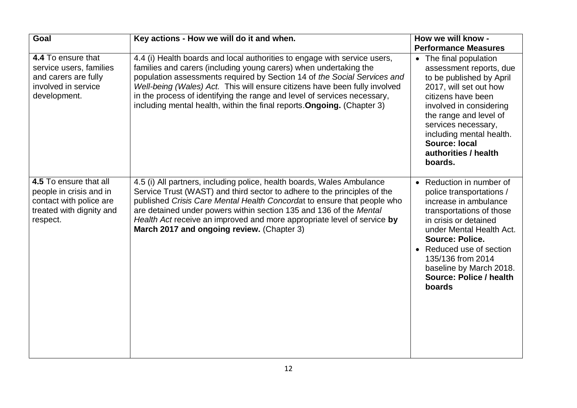| <b>Goal</b>                                                                                                          | Key actions - How we will do it and when.                                                                                                                                                                                                                                                                                                                                                                                                                       | How we will know -                                                                                                                                                                                                                                                                                          |
|----------------------------------------------------------------------------------------------------------------------|-----------------------------------------------------------------------------------------------------------------------------------------------------------------------------------------------------------------------------------------------------------------------------------------------------------------------------------------------------------------------------------------------------------------------------------------------------------------|-------------------------------------------------------------------------------------------------------------------------------------------------------------------------------------------------------------------------------------------------------------------------------------------------------------|
|                                                                                                                      |                                                                                                                                                                                                                                                                                                                                                                                                                                                                 | <b>Performance Measures</b>                                                                                                                                                                                                                                                                                 |
| 4.4 To ensure that<br>service users, families<br>and carers are fully<br>involved in service<br>development.         | 4.4 (i) Health boards and local authorities to engage with service users,<br>families and carers (including young carers) when undertaking the<br>population assessments required by Section 14 of the Social Services and<br>Well-being (Wales) Act. This will ensure citizens have been fully involved<br>in the process of identifying the range and level of services necessary,<br>including mental health, within the final reports. Ongoing. (Chapter 3) | The final population<br>$\bullet$<br>assessment reports, due<br>to be published by April<br>2017, will set out how<br>citizens have been<br>involved in considering<br>the range and level of<br>services necessary,<br>including mental health.<br><b>Source: local</b><br>authorities / health<br>boards. |
| 4.5 To ensure that all<br>people in crisis and in<br>contact with police are<br>treated with dignity and<br>respect. | 4.5 (i) All partners, including police, health boards, Wales Ambulance<br>Service Trust (WAST) and third sector to adhere to the principles of the<br>published Crisis Care Mental Health Concordat to ensure that people who<br>are detained under powers within section 135 and 136 of the Mental<br>Health Act receive an improved and more appropriate level of service by<br>March 2017 and ongoing review. (Chapter 3)                                    | • Reduction in number of<br>police transportations /<br>increase in ambulance<br>transportations of those<br>in crisis or detained<br>under Mental Health Act.<br><b>Source: Police.</b><br>Reduced use of section<br>135/136 from 2014<br>baseline by March 2018.<br>Source: Police / health<br>boards     |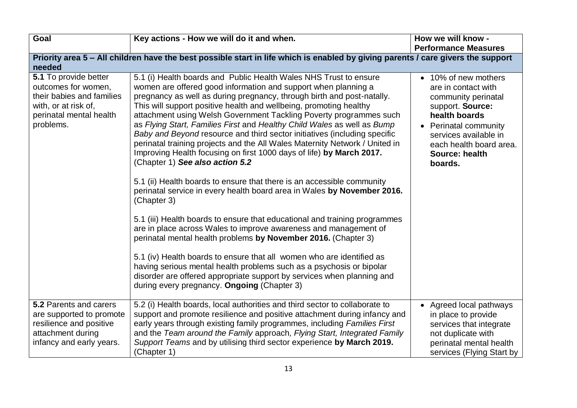| Goal                                                                                                                                      | Key actions - How we will do it and when.                                                                                                                                                                                                                                                                                                                                                                                                                                                                                                                                                                                                                                                                                                                                                                                                                                                                                                                                                                                                                                                                                                                                                                                                                                                                                                                                     | How we will know -                                                                                                                                                                                                |
|-------------------------------------------------------------------------------------------------------------------------------------------|-------------------------------------------------------------------------------------------------------------------------------------------------------------------------------------------------------------------------------------------------------------------------------------------------------------------------------------------------------------------------------------------------------------------------------------------------------------------------------------------------------------------------------------------------------------------------------------------------------------------------------------------------------------------------------------------------------------------------------------------------------------------------------------------------------------------------------------------------------------------------------------------------------------------------------------------------------------------------------------------------------------------------------------------------------------------------------------------------------------------------------------------------------------------------------------------------------------------------------------------------------------------------------------------------------------------------------------------------------------------------------|-------------------------------------------------------------------------------------------------------------------------------------------------------------------------------------------------------------------|
|                                                                                                                                           |                                                                                                                                                                                                                                                                                                                                                                                                                                                                                                                                                                                                                                                                                                                                                                                                                                                                                                                                                                                                                                                                                                                                                                                                                                                                                                                                                                               | <b>Performance Measures</b>                                                                                                                                                                                       |
|                                                                                                                                           | Priority area 5 – All children have the best possible start in life which is enabled by giving parents / care givers the support                                                                                                                                                                                                                                                                                                                                                                                                                                                                                                                                                                                                                                                                                                                                                                                                                                                                                                                                                                                                                                                                                                                                                                                                                                              |                                                                                                                                                                                                                   |
| needed                                                                                                                                    |                                                                                                                                                                                                                                                                                                                                                                                                                                                                                                                                                                                                                                                                                                                                                                                                                                                                                                                                                                                                                                                                                                                                                                                                                                                                                                                                                                               |                                                                                                                                                                                                                   |
| 5.1 To provide better<br>outcomes for women,<br>their babies and families<br>with, or at risk of,<br>perinatal mental health<br>problems. | 5.1 (i) Health boards and Public Health Wales NHS Trust to ensure<br>women are offered good information and support when planning a<br>pregnancy as well as during pregnancy, through birth and post-natally.<br>This will support positive health and wellbeing, promoting healthy<br>attachment using Welsh Government Tackling Poverty programmes such<br>as Flying Start, Families First and Healthy Child Wales as well as Bump<br>Baby and Beyond resource and third sector initiatives (including specific<br>perinatal training projects and the All Wales Maternity Network / United in<br>Improving Health focusing on first 1000 days of life) by March 2017.<br>(Chapter 1) See also action 5.2<br>5.1 (ii) Health boards to ensure that there is an accessible community<br>perinatal service in every health board area in Wales by November 2016.<br>(Chapter 3)<br>5.1 (iii) Health boards to ensure that educational and training programmes<br>are in place across Wales to improve awareness and management of<br>perinatal mental health problems by November 2016. (Chapter 3)<br>5.1 (iv) Health boards to ensure that all women who are identified as<br>having serious mental health problems such as a psychosis or bipolar<br>disorder are offered appropriate support by services when planning and<br>during every pregnancy. Ongoing (Chapter 3) | • 10% of new mothers<br>are in contact with<br>community perinatal<br>support. Source:<br>health boards<br>• Perinatal community<br>services available in<br>each health board area.<br>Source: health<br>boards. |
| 5.2 Parents and carers                                                                                                                    | 5.2 (i) Health boards, local authorities and third sector to collaborate to                                                                                                                                                                                                                                                                                                                                                                                                                                                                                                                                                                                                                                                                                                                                                                                                                                                                                                                                                                                                                                                                                                                                                                                                                                                                                                   |                                                                                                                                                                                                                   |
| are supported to promote<br>resilience and positive<br>attachment during<br>infancy and early years.                                      | support and promote resilience and positive attachment during infancy and<br>early years through existing family programmes, including Families First<br>and the Team around the Family approach, Flying Start, Integrated Family<br>Support Teams and by utilising third sector experience by March 2019.<br>(Chapter 1)                                                                                                                                                                                                                                                                                                                                                                                                                                                                                                                                                                                                                                                                                                                                                                                                                                                                                                                                                                                                                                                     | • Agreed local pathways<br>in place to provide<br>services that integrate<br>not duplicate with<br>perinatal mental health<br>services (Flying Start by                                                           |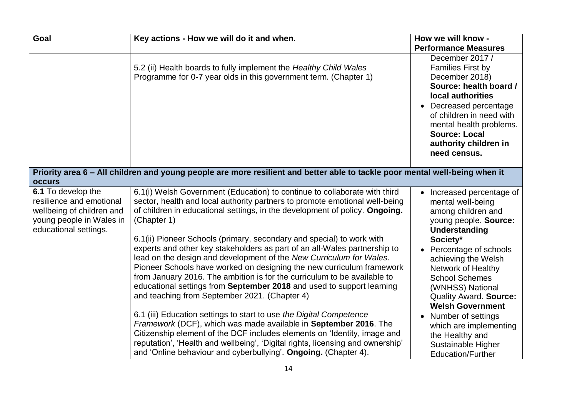| Goal                                                                                                                             | Key actions - How we will do it and when.                                                                                                                                                                                                                                                                                                                                                                                                                                                                                                                                                                                                                                                                                                                                                                                                                                                                                                                                                                                                                                                                                                      | How we will know -                                                                                                                                                                                                                                                                                                                                                                                                                  |
|----------------------------------------------------------------------------------------------------------------------------------|------------------------------------------------------------------------------------------------------------------------------------------------------------------------------------------------------------------------------------------------------------------------------------------------------------------------------------------------------------------------------------------------------------------------------------------------------------------------------------------------------------------------------------------------------------------------------------------------------------------------------------------------------------------------------------------------------------------------------------------------------------------------------------------------------------------------------------------------------------------------------------------------------------------------------------------------------------------------------------------------------------------------------------------------------------------------------------------------------------------------------------------------|-------------------------------------------------------------------------------------------------------------------------------------------------------------------------------------------------------------------------------------------------------------------------------------------------------------------------------------------------------------------------------------------------------------------------------------|
|                                                                                                                                  |                                                                                                                                                                                                                                                                                                                                                                                                                                                                                                                                                                                                                                                                                                                                                                                                                                                                                                                                                                                                                                                                                                                                                | <b>Performance Measures</b>                                                                                                                                                                                                                                                                                                                                                                                                         |
|                                                                                                                                  | 5.2 (ii) Health boards to fully implement the Healthy Child Wales<br>Programme for 0-7 year olds in this government term. (Chapter 1)                                                                                                                                                                                                                                                                                                                                                                                                                                                                                                                                                                                                                                                                                                                                                                                                                                                                                                                                                                                                          | December 2017 /<br><b>Families First by</b><br>December 2018)<br>Source: health board /<br>local authorities<br>• Decreased percentage<br>of children in need with<br>mental health problems.<br><b>Source: Local</b><br>authority children in<br>need census.                                                                                                                                                                      |
| <b>occurs</b>                                                                                                                    | Priority area 6 – All children and young people are more resilient and better able to tackle poor mental well-being when it                                                                                                                                                                                                                                                                                                                                                                                                                                                                                                                                                                                                                                                                                                                                                                                                                                                                                                                                                                                                                    |                                                                                                                                                                                                                                                                                                                                                                                                                                     |
| 6.1 To develop the<br>resilience and emotional<br>wellbeing of children and<br>young people in Wales in<br>educational settings. | 6.1(i) Welsh Government (Education) to continue to collaborate with third<br>sector, health and local authority partners to promote emotional well-being<br>of children in educational settings, in the development of policy. Ongoing.<br>(Chapter 1)<br>6.1(ii) Pioneer Schools (primary, secondary and special) to work with<br>experts and other key stakeholders as part of an all-Wales partnership to<br>lead on the design and development of the New Curriculum for Wales.<br>Pioneer Schools have worked on designing the new curriculum framework<br>from January 2016. The ambition is for the curriculum to be available to<br>educational settings from September 2018 and used to support learning<br>and teaching from September 2021. (Chapter 4)<br>6.1 (iii) Education settings to start to use the Digital Competence<br>Framework (DCF), which was made available in September 2016. The<br>Citizenship element of the DCF includes elements on 'Identity, image and<br>reputation', 'Health and wellbeing', 'Digital rights, licensing and ownership'<br>and 'Online behaviour and cyberbullying'. Ongoing. (Chapter 4). | Increased percentage of<br>mental well-being<br>among children and<br>young people. Source:<br><b>Understanding</b><br>Society*<br>Percentage of schools<br>achieving the Welsh<br>Network of Healthy<br><b>School Schemes</b><br>(WNHSS) National<br><b>Quality Award. Source:</b><br><b>Welsh Government</b><br>Number of settings<br>which are implementing<br>the Healthy and<br>Sustainable Higher<br><b>Education/Further</b> |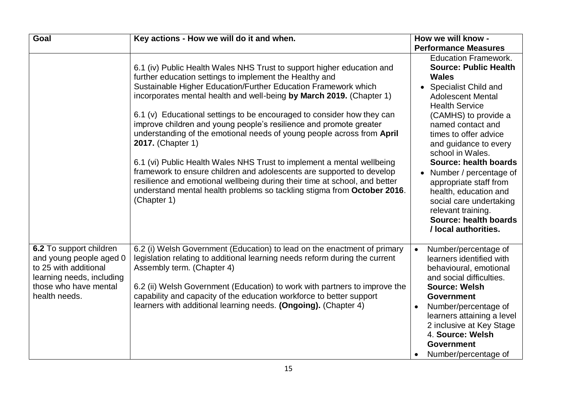| Goal                                                                                                                                               | Key actions - How we will do it and when.                                                                                                                                                                                                                                                                                                                                                                                                                                                                                                                                                                                                                                                                                                                                                                                                             | How we will know -                                                                                                                                                                                                                                                                                                                                                                                                                                                                           |
|----------------------------------------------------------------------------------------------------------------------------------------------------|-------------------------------------------------------------------------------------------------------------------------------------------------------------------------------------------------------------------------------------------------------------------------------------------------------------------------------------------------------------------------------------------------------------------------------------------------------------------------------------------------------------------------------------------------------------------------------------------------------------------------------------------------------------------------------------------------------------------------------------------------------------------------------------------------------------------------------------------------------|----------------------------------------------------------------------------------------------------------------------------------------------------------------------------------------------------------------------------------------------------------------------------------------------------------------------------------------------------------------------------------------------------------------------------------------------------------------------------------------------|
|                                                                                                                                                    |                                                                                                                                                                                                                                                                                                                                                                                                                                                                                                                                                                                                                                                                                                                                                                                                                                                       | <b>Performance Measures</b>                                                                                                                                                                                                                                                                                                                                                                                                                                                                  |
|                                                                                                                                                    | 6.1 (iv) Public Health Wales NHS Trust to support higher education and<br>further education settings to implement the Healthy and<br>Sustainable Higher Education/Further Education Framework which<br>incorporates mental health and well-being by March 2019. (Chapter 1)<br>6.1 (v) Educational settings to be encouraged to consider how they can<br>improve children and young people's resilience and promote greater<br>understanding of the emotional needs of young people across from April<br>2017. (Chapter 1)<br>6.1 (vi) Public Health Wales NHS Trust to implement a mental wellbeing<br>framework to ensure children and adolescents are supported to develop<br>resilience and emotional wellbeing during their time at school, and better<br>understand mental health problems so tackling stigma from October 2016.<br>(Chapter 1) | <b>Education Framework.</b><br><b>Source: Public Health</b><br><b>Wales</b><br>• Specialist Child and<br><b>Adolescent Mental</b><br><b>Health Service</b><br>(CAMHS) to provide a<br>named contact and<br>times to offer advice<br>and guidance to every<br>school in Wales.<br>Source: health boards<br>Number / percentage of<br>appropriate staff from<br>health, education and<br>social care undertaking<br>relevant training.<br><b>Source: health boards</b><br>/ local authorities. |
| 6.2 To support children<br>and young people aged 0<br>to 25 with additional<br>learning needs, including<br>those who have mental<br>health needs. | 6.2 (i) Welsh Government (Education) to lead on the enactment of primary<br>legislation relating to additional learning needs reform during the current<br>Assembly term. (Chapter 4)<br>6.2 (ii) Welsh Government (Education) to work with partners to improve the<br>capability and capacity of the education workforce to better support<br>learners with additional learning needs. (Ongoing). (Chapter 4)                                                                                                                                                                                                                                                                                                                                                                                                                                        | Number/percentage of<br>$\bullet$<br>learners identified with<br>behavioural, emotional<br>and social difficulties.<br><b>Source: Welsh</b><br><b>Government</b><br>Number/percentage of<br>$\bullet$<br>learners attaining a level<br>2 inclusive at Key Stage<br>4. Source: Welsh<br><b>Government</b><br>Number/percentage of                                                                                                                                                             |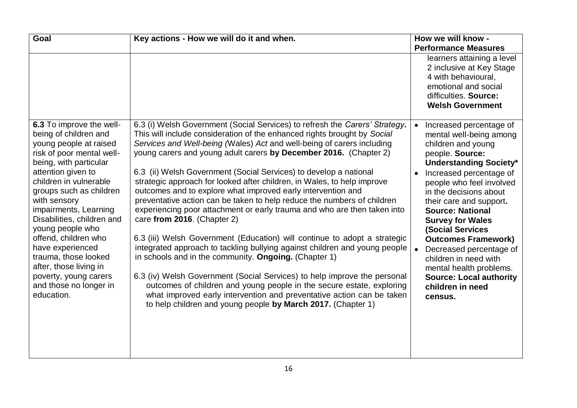| <b>Goal</b>                                                                                                                                                                                                                                                                                                                                                                                                                                                             | Key actions - How we will do it and when.                                                                                                                                                                                                                                                                                                                                                                                                                                                                                                                                                                                                                                                                                                                                                                                                                                                                                                                                                                                                                                                                                                                                                                                      | How we will know -                                                                                                                                                                                                                                                                                                                                                                                                                                                                                      |
|-------------------------------------------------------------------------------------------------------------------------------------------------------------------------------------------------------------------------------------------------------------------------------------------------------------------------------------------------------------------------------------------------------------------------------------------------------------------------|--------------------------------------------------------------------------------------------------------------------------------------------------------------------------------------------------------------------------------------------------------------------------------------------------------------------------------------------------------------------------------------------------------------------------------------------------------------------------------------------------------------------------------------------------------------------------------------------------------------------------------------------------------------------------------------------------------------------------------------------------------------------------------------------------------------------------------------------------------------------------------------------------------------------------------------------------------------------------------------------------------------------------------------------------------------------------------------------------------------------------------------------------------------------------------------------------------------------------------|---------------------------------------------------------------------------------------------------------------------------------------------------------------------------------------------------------------------------------------------------------------------------------------------------------------------------------------------------------------------------------------------------------------------------------------------------------------------------------------------------------|
|                                                                                                                                                                                                                                                                                                                                                                                                                                                                         |                                                                                                                                                                                                                                                                                                                                                                                                                                                                                                                                                                                                                                                                                                                                                                                                                                                                                                                                                                                                                                                                                                                                                                                                                                | <b>Performance Measures</b>                                                                                                                                                                                                                                                                                                                                                                                                                                                                             |
|                                                                                                                                                                                                                                                                                                                                                                                                                                                                         |                                                                                                                                                                                                                                                                                                                                                                                                                                                                                                                                                                                                                                                                                                                                                                                                                                                                                                                                                                                                                                                                                                                                                                                                                                | learners attaining a level<br>2 inclusive at Key Stage<br>4 with behavioural,<br>emotional and social<br>difficulties. Source:<br><b>Welsh Government</b>                                                                                                                                                                                                                                                                                                                                               |
| 6.3 To improve the well-<br>being of children and<br>young people at raised<br>risk of poor mental well-<br>being, with particular<br>attention given to<br>children in vulnerable<br>groups such as children<br>with sensory<br>impairments, Learning<br>Disabilities, children and<br>young people who<br>offend, children who<br>have experienced<br>trauma, those looked<br>after, those living in<br>poverty, young carers<br>and those no longer in<br>education. | 6.3 (i) Welsh Government (Social Services) to refresh the Carers' Strategy.<br>This will include consideration of the enhanced rights brought by Social<br>Services and Well-being (Wales) Act and well-being of carers including<br>young carers and young adult carers by December 2016. (Chapter 2)<br>6.3 (ii) Welsh Government (Social Services) to develop a national<br>strategic approach for looked after children, in Wales, to help improve<br>outcomes and to explore what improved early intervention and<br>preventative action can be taken to help reduce the numbers of children<br>experiencing poor attachment or early trauma and who are then taken into<br>care from 2016. (Chapter 2)<br>6.3 (iii) Welsh Government (Education) will continue to adopt a strategic<br>integrated approach to tackling bullying against children and young people<br>in schools and in the community. Ongoing. (Chapter 1)<br>6.3 (iv) Welsh Government (Social Services) to help improve the personal<br>outcomes of children and young people in the secure estate, exploring<br>what improved early intervention and preventative action can be taken<br>to help children and young people by March 2017. (Chapter 1) | Increased percentage of<br>mental well-being among<br>children and young<br>people. Source:<br><b>Understanding Society*</b><br>Increased percentage of<br>people who feel involved<br>in the decisions about<br>their care and support.<br><b>Source: National</b><br><b>Survey for Wales</b><br><b>(Social Services</b><br><b>Outcomes Framework)</b><br>Decreased percentage of<br>children in need with<br>mental health problems.<br><b>Source: Local authority</b><br>children in need<br>census. |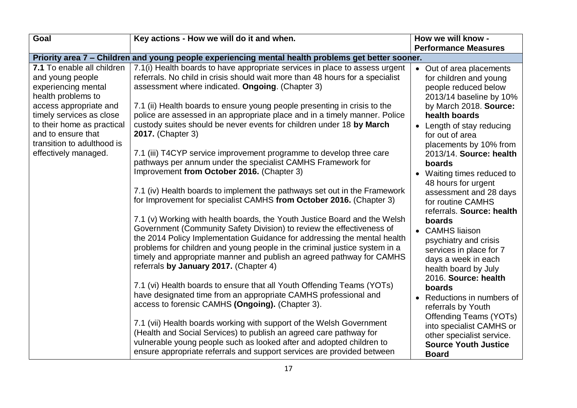| <b>Goal</b>                                                                                                                          | Key actions - How we will do it and when.                                                                                                                                                                                                                                                                                                                                                                                       | How we will know -                                                                                                                             |
|--------------------------------------------------------------------------------------------------------------------------------------|---------------------------------------------------------------------------------------------------------------------------------------------------------------------------------------------------------------------------------------------------------------------------------------------------------------------------------------------------------------------------------------------------------------------------------|------------------------------------------------------------------------------------------------------------------------------------------------|
|                                                                                                                                      |                                                                                                                                                                                                                                                                                                                                                                                                                                 | <b>Performance Measures</b>                                                                                                                    |
|                                                                                                                                      | Priority area 7 - Children and young people experiencing mental health problems get better sooner.                                                                                                                                                                                                                                                                                                                              |                                                                                                                                                |
| 7.1 To enable all children<br>and young people<br>experiencing mental<br>health problems to                                          | 7.1(i) Health boards to have appropriate services in place to assess urgent<br>referrals. No child in crisis should wait more than 48 hours for a specialist<br>assessment where indicated. Ongoing. (Chapter 3)                                                                                                                                                                                                                | • Out of area placements<br>for children and young<br>people reduced below<br>2013/14 baseline by 10%                                          |
| access appropriate and<br>timely services as close<br>to their home as practical<br>and to ensure that<br>transition to adulthood is | 7.1 (ii) Health boards to ensure young people presenting in crisis to the<br>police are assessed in an appropriate place and in a timely manner. Police<br>custody suites should be never events for children under 18 by March<br><b>2017.</b> (Chapter 3)                                                                                                                                                                     | by March 2018. Source:<br>health boards<br>Length of stay reducing<br>$\bullet$<br>for out of area<br>placements by 10% from                   |
| effectively managed.                                                                                                                 | 7.1 (iii) T4CYP service improvement programme to develop three care<br>pathways per annum under the specialist CAMHS Framework for<br>Improvement from October 2016. (Chapter 3)                                                                                                                                                                                                                                                | 2013/14. Source: health<br>boards<br>Waiting times reduced to<br>$\bullet$<br>48 hours for urgent                                              |
|                                                                                                                                      | 7.1 (iv) Health boards to implement the pathways set out in the Framework<br>for Improvement for specialist CAMHS from October 2016. (Chapter 3)                                                                                                                                                                                                                                                                                | assessment and 28 days<br>for routine CAMHS<br>referrals. Source: health                                                                       |
|                                                                                                                                      | 7.1 (v) Working with health boards, the Youth Justice Board and the Welsh<br>Government (Community Safety Division) to review the effectiveness of<br>the 2014 Policy Implementation Guidance for addressing the mental health<br>problems for children and young people in the criminal justice system in a<br>timely and appropriate manner and publish an agreed pathway for CAMHS<br>referrals by January 2017. (Chapter 4) | boards<br><b>CAMHS liaison</b><br>$\bullet$<br>psychiatry and crisis<br>services in place for 7<br>days a week in each<br>health board by July |
|                                                                                                                                      | 7.1 (vi) Health boards to ensure that all Youth Offending Teams (YOTs)<br>have designated time from an appropriate CAMHS professional and<br>access to forensic CAMHS (Ongoing). (Chapter 3).                                                                                                                                                                                                                                   | 2016. Source: health<br>boards<br>Reductions in numbers of<br>$\bullet$<br>referrals by Youth                                                  |
|                                                                                                                                      | 7.1 (vii) Health boards working with support of the Welsh Government<br>(Health and Social Services) to publish an agreed care pathway for<br>vulnerable young people such as looked after and adopted children to<br>ensure appropriate referrals and support services are provided between                                                                                                                                    | <b>Offending Teams (YOTs)</b><br>into specialist CAMHS or<br>other specialist service.<br><b>Source Youth Justice</b><br><b>Board</b>          |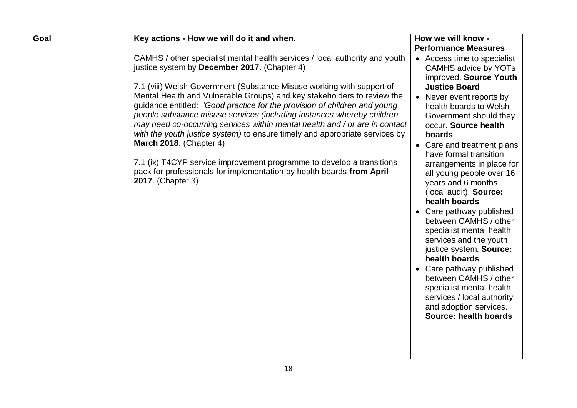| Goal | Key actions - How we will do it and when.                                                                                                                                                                                                                                                                                                                                                                                                                                                                                                                                                                                                                               | How we will know -                                                                                                                                                                                                                                                                                                                                                                                                                                                                                                                                                                                                                                       |
|------|-------------------------------------------------------------------------------------------------------------------------------------------------------------------------------------------------------------------------------------------------------------------------------------------------------------------------------------------------------------------------------------------------------------------------------------------------------------------------------------------------------------------------------------------------------------------------------------------------------------------------------------------------------------------------|----------------------------------------------------------------------------------------------------------------------------------------------------------------------------------------------------------------------------------------------------------------------------------------------------------------------------------------------------------------------------------------------------------------------------------------------------------------------------------------------------------------------------------------------------------------------------------------------------------------------------------------------------------|
|      |                                                                                                                                                                                                                                                                                                                                                                                                                                                                                                                                                                                                                                                                         | <b>Performance Measures</b>                                                                                                                                                                                                                                                                                                                                                                                                                                                                                                                                                                                                                              |
|      | CAMHS / other specialist mental health services / local authority and youth<br>justice system by December 2017. (Chapter 4)                                                                                                                                                                                                                                                                                                                                                                                                                                                                                                                                             | • Access time to specialist<br><b>CAMHS advice by YOTs</b><br>improved. Source Youth                                                                                                                                                                                                                                                                                                                                                                                                                                                                                                                                                                     |
|      | 7.1 (viii) Welsh Government (Substance Misuse working with support of<br>Mental Health and Vulnerable Groups) and key stakeholders to review the<br>guidance entitled: 'Good practice for the provision of children and young<br>people substance misuse services (including instances whereby children<br>may need co-occurring services within mental health and / or are in contact<br>with the youth justice system) to ensure timely and appropriate services by<br>March 2018. (Chapter 4)<br>7.1 (ix) T4CYP service improvement programme to develop a transitions<br>pack for professionals for implementation by health boards from April<br>2017. (Chapter 3) | <b>Justice Board</b><br>Never event reports by<br>$\bullet$<br>health boards to Welsh<br>Government should they<br>occur. Source health<br>boards<br>• Care and treatment plans<br>have formal transition<br>arrangements in place for<br>all young people over 16<br>years and 6 months<br>(local audit). Source:<br>health boards<br>Care pathway published<br>between CAMHS / other<br>specialist mental health<br>services and the youth<br>justice system. Source:<br>health boards<br>Care pathway published<br>between CAMHS / other<br>specialist mental health<br>services / local authority<br>and adoption services.<br>Source: health boards |
|      |                                                                                                                                                                                                                                                                                                                                                                                                                                                                                                                                                                                                                                                                         |                                                                                                                                                                                                                                                                                                                                                                                                                                                                                                                                                                                                                                                          |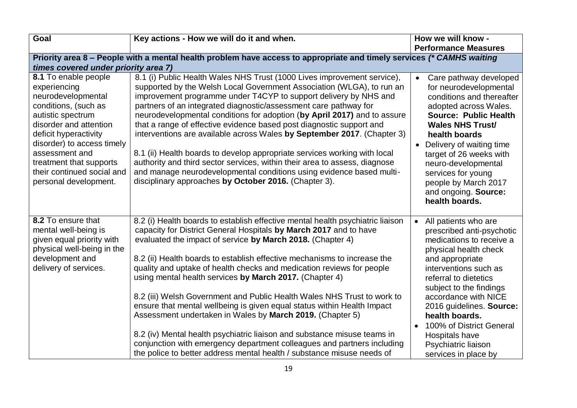| <b>Goal</b>                                                                                                                                                                                                                                                                                  | Key actions - How we will do it and when.                                                                                                                                                                                                                                                                                                                                                                                                                                                                                                                                                                                                                                                                                                                                                                                                                                             | How we will know -                                                                                                                                                                                                                                                                                                                                                                                  |
|----------------------------------------------------------------------------------------------------------------------------------------------------------------------------------------------------------------------------------------------------------------------------------------------|---------------------------------------------------------------------------------------------------------------------------------------------------------------------------------------------------------------------------------------------------------------------------------------------------------------------------------------------------------------------------------------------------------------------------------------------------------------------------------------------------------------------------------------------------------------------------------------------------------------------------------------------------------------------------------------------------------------------------------------------------------------------------------------------------------------------------------------------------------------------------------------|-----------------------------------------------------------------------------------------------------------------------------------------------------------------------------------------------------------------------------------------------------------------------------------------------------------------------------------------------------------------------------------------------------|
|                                                                                                                                                                                                                                                                                              |                                                                                                                                                                                                                                                                                                                                                                                                                                                                                                                                                                                                                                                                                                                                                                                                                                                                                       | <b>Performance Measures</b>                                                                                                                                                                                                                                                                                                                                                                         |
|                                                                                                                                                                                                                                                                                              | Priority area 8 – People with a mental health problem have access to appropriate and timely services (* CAMHS waiting                                                                                                                                                                                                                                                                                                                                                                                                                                                                                                                                                                                                                                                                                                                                                                 |                                                                                                                                                                                                                                                                                                                                                                                                     |
| times covered under priority area 7)                                                                                                                                                                                                                                                         |                                                                                                                                                                                                                                                                                                                                                                                                                                                                                                                                                                                                                                                                                                                                                                                                                                                                                       |                                                                                                                                                                                                                                                                                                                                                                                                     |
| 8.1 To enable people<br>experiencing<br>neurodevelopmental<br>conditions, (such as<br>autistic spectrum<br>disorder and attention<br>deficit hyperactivity<br>disorder) to access timely<br>assessment and<br>treatment that supports<br>their continued social and<br>personal development. | 8.1 (i) Public Health Wales NHS Trust (1000 Lives improvement service),<br>supported by the Welsh Local Government Association (WLGA), to run an<br>improvement programme under T4CYP to support delivery by NHS and<br>partners of an integrated diagnostic/assessment care pathway for<br>neurodevelopmental conditions for adoption (by April 2017) and to assure<br>that a range of effective evidence based post diagnostic support and<br>interventions are available across Wales by September 2017. (Chapter 3)<br>8.1 (ii) Health boards to develop appropriate services working with local<br>authority and third sector services, within their area to assess, diagnose<br>and manage neurodevelopmental conditions using evidence based multi-<br>disciplinary approaches by October 2016. (Chapter 3).                                                                   | Care pathway developed<br>$\bullet$<br>for neurodevelopmental<br>conditions and thereafter<br>adopted across Wales.<br><b>Source: Public Health</b><br><b>Wales NHS Trust/</b><br>health boards<br>Delivery of waiting time<br>target of 26 weeks with<br>neuro-developmental<br>services for young<br>people by March 2017<br>and ongoing. Source:<br>health boards.                               |
| 8.2 To ensure that<br>mental well-being is<br>given equal priority with<br>physical well-being in the<br>development and<br>delivery of services.                                                                                                                                            | 8.2 (i) Health boards to establish effective mental health psychiatric liaison<br>capacity for District General Hospitals by March 2017 and to have<br>evaluated the impact of service by March 2018. (Chapter 4)<br>8.2 (ii) Health boards to establish effective mechanisms to increase the<br>quality and uptake of health checks and medication reviews for people<br>using mental health services by March 2017. (Chapter 4)<br>8.2 (iii) Welsh Government and Public Health Wales NHS Trust to work to<br>ensure that mental wellbeing is given equal status within Health Impact<br>Assessment undertaken in Wales by March 2019. (Chapter 5)<br>8.2 (iv) Mental health psychiatric liaison and substance misuse teams in<br>conjunction with emergency department colleagues and partners including<br>the police to better address mental health / substance misuse needs of | All patients who are<br>$\bullet$<br>prescribed anti-psychotic<br>medications to receive a<br>physical health check<br>and appropriate<br>interventions such as<br>referral to dietetics<br>subject to the findings<br>accordance with NICE<br>2016 guidelines. Source:<br>health boards.<br>100% of District General<br>$\bullet$<br>Hospitals have<br>Psychiatric liaison<br>services in place by |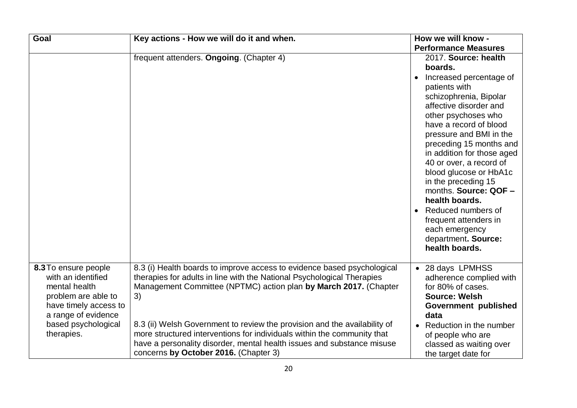| Goal                                                                                                                                                                    | Key actions - How we will do it and when.                                                                                                                                                                                                                                                                                                                                                                                                                                                              | How we will know -                                                                                                                                                                                                                                                                                                                                                                                                                                                                                                 |
|-------------------------------------------------------------------------------------------------------------------------------------------------------------------------|--------------------------------------------------------------------------------------------------------------------------------------------------------------------------------------------------------------------------------------------------------------------------------------------------------------------------------------------------------------------------------------------------------------------------------------------------------------------------------------------------------|--------------------------------------------------------------------------------------------------------------------------------------------------------------------------------------------------------------------------------------------------------------------------------------------------------------------------------------------------------------------------------------------------------------------------------------------------------------------------------------------------------------------|
|                                                                                                                                                                         |                                                                                                                                                                                                                                                                                                                                                                                                                                                                                                        | <b>Performance Measures</b>                                                                                                                                                                                                                                                                                                                                                                                                                                                                                        |
|                                                                                                                                                                         | frequent attenders. Ongoing. (Chapter 4)                                                                                                                                                                                                                                                                                                                                                                                                                                                               | 2017. Source: health<br>boards.<br>Increased percentage of<br>$\bullet$<br>patients with<br>schizophrenia, Bipolar<br>affective disorder and<br>other psychoses who<br>have a record of blood<br>pressure and BMI in the<br>preceding 15 months and<br>in addition for those aged<br>40 or over, a record of<br>blood glucose or HbA1c<br>in the preceding 15<br>months. Source: QOF -<br>health boards.<br>Reduced numbers of<br>frequent attenders in<br>each emergency<br>department. Source:<br>health boards. |
| 8.3 To ensure people<br>with an identified<br>mental health<br>problem are able to<br>have timely access to<br>a range of evidence<br>based psychological<br>therapies. | 8.3 (i) Health boards to improve access to evidence based psychological<br>therapies for adults in line with the National Psychological Therapies<br>Management Committee (NPTMC) action plan by March 2017. (Chapter<br>3)<br>8.3 (ii) Welsh Government to review the provision and the availability of<br>more structured interventions for individuals within the community that<br>have a personality disorder, mental health issues and substance misuse<br>concerns by October 2016. (Chapter 3) | • 28 days LPMHSS<br>adherence complied with<br>for 80% of cases.<br><b>Source: Welsh</b><br>Government published<br>data<br>Reduction in the number<br>$\bullet$<br>of people who are<br>classed as waiting over<br>the target date for                                                                                                                                                                                                                                                                            |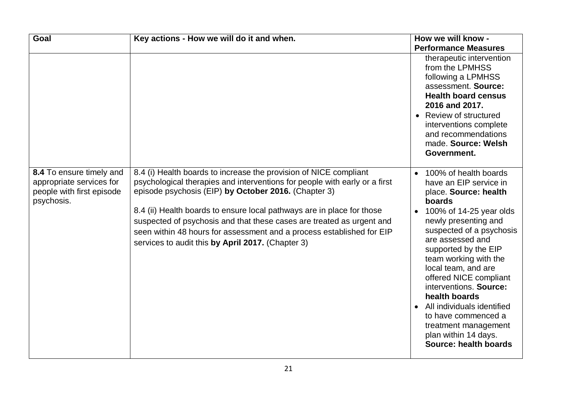| Goal                                                                                            | Key actions - How we will do it and when.                                                                                                                                                                                                                                                                                                                                                                                                                                                | How we will know -                                                                                                                                                                                                                                                                                                                                                                                                                                                                                      |
|-------------------------------------------------------------------------------------------------|------------------------------------------------------------------------------------------------------------------------------------------------------------------------------------------------------------------------------------------------------------------------------------------------------------------------------------------------------------------------------------------------------------------------------------------------------------------------------------------|---------------------------------------------------------------------------------------------------------------------------------------------------------------------------------------------------------------------------------------------------------------------------------------------------------------------------------------------------------------------------------------------------------------------------------------------------------------------------------------------------------|
|                                                                                                 |                                                                                                                                                                                                                                                                                                                                                                                                                                                                                          | <b>Performance Measures</b>                                                                                                                                                                                                                                                                                                                                                                                                                                                                             |
|                                                                                                 |                                                                                                                                                                                                                                                                                                                                                                                                                                                                                          | therapeutic intervention<br>from the LPMHSS<br>following a LPMHSS<br>assessment. Source:<br><b>Health board census</b><br>2016 and 2017.<br>Review of structured<br>interventions complete<br>and recommendations<br>made. Source: Welsh<br>Government.                                                                                                                                                                                                                                                 |
| 8.4 To ensure timely and<br>appropriate services for<br>people with first episode<br>psychosis. | 8.4 (i) Health boards to increase the provision of NICE compliant<br>psychological therapies and interventions for people with early or a first<br>episode psychosis (EIP) by October 2016. (Chapter 3)<br>8.4 (ii) Health boards to ensure local pathways are in place for those<br>suspected of psychosis and that these cases are treated as urgent and<br>seen within 48 hours for assessment and a process established for EIP<br>services to audit this by April 2017. (Chapter 3) | 100% of health boards<br>$\bullet$<br>have an EIP service in<br>place. Source: health<br>boards<br>100% of 14-25 year olds<br>$\bullet$<br>newly presenting and<br>suspected of a psychosis<br>are assessed and<br>supported by the EIP<br>team working with the<br>local team, and are<br>offered NICE compliant<br>interventions. Source:<br>health boards<br>All individuals identified<br>$\bullet$<br>to have commenced a<br>treatment management<br>plan within 14 days.<br>Source: health boards |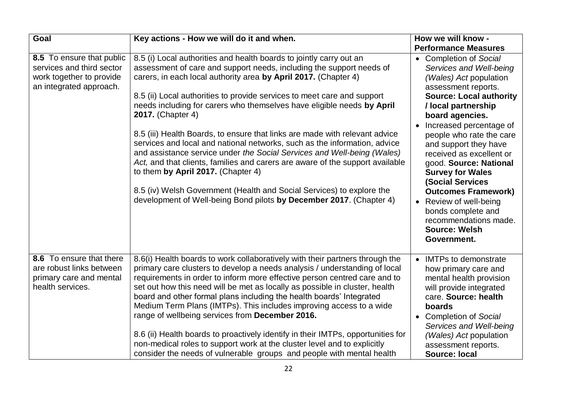| Goal                                                                                                          | Key actions - How we will do it and when.                                                                                                                                                                                                                                                                                                                                                                                                                                                                                                                                                                                                                                                                                                                                                                                                                                                              | How we will know -                                                                                                                                                                                                                                                                                                                                                                                                                                                                                                     |
|---------------------------------------------------------------------------------------------------------------|--------------------------------------------------------------------------------------------------------------------------------------------------------------------------------------------------------------------------------------------------------------------------------------------------------------------------------------------------------------------------------------------------------------------------------------------------------------------------------------------------------------------------------------------------------------------------------------------------------------------------------------------------------------------------------------------------------------------------------------------------------------------------------------------------------------------------------------------------------------------------------------------------------|------------------------------------------------------------------------------------------------------------------------------------------------------------------------------------------------------------------------------------------------------------------------------------------------------------------------------------------------------------------------------------------------------------------------------------------------------------------------------------------------------------------------|
|                                                                                                               |                                                                                                                                                                                                                                                                                                                                                                                                                                                                                                                                                                                                                                                                                                                                                                                                                                                                                                        | <b>Performance Measures</b>                                                                                                                                                                                                                                                                                                                                                                                                                                                                                            |
| 8.5 To ensure that public<br>services and third sector<br>work together to provide<br>an integrated approach. | 8.5 (i) Local authorities and health boards to jointly carry out an<br>assessment of care and support needs, including the support needs of<br>carers, in each local authority area by April 2017. (Chapter 4)<br>8.5 (ii) Local authorities to provide services to meet care and support<br>needs including for carers who themselves have eligible needs by April<br>2017. (Chapter 4)<br>8.5 (iii) Health Boards, to ensure that links are made with relevant advice<br>services and local and national networks, such as the information, advice<br>and assistance service under the Social Services and Well-being (Wales)<br>Act, and that clients, families and carers are aware of the support available<br>to them by April 2017. (Chapter 4)<br>8.5 (iv) Welsh Government (Health and Social Services) to explore the<br>development of Well-being Bond pilots by December 2017. (Chapter 4) | • Completion of Social<br>Services and Well-being<br>(Wales) Act population<br>assessment reports.<br><b>Source: Local authority</b><br>/ local partnership<br>board agencies.<br>Increased percentage of<br>people who rate the care<br>and support they have<br>received as excellent or<br>good. Source: National<br><b>Survey for Wales</b><br><b>(Social Services</b><br><b>Outcomes Framework)</b><br>Review of well-being<br>bonds complete and<br>recommendations made.<br><b>Source: Welsh</b><br>Government. |
| 8.6 To ensure that there<br>are robust links between<br>primary care and mental<br>health services.           | 8.6(i) Health boards to work collaboratively with their partners through the<br>primary care clusters to develop a needs analysis / understanding of local<br>requirements in order to inform more effective person centred care and to<br>set out how this need will be met as locally as possible in cluster, health<br>board and other formal plans including the health boards' Integrated<br>Medium Term Plans (IMTPs). This includes improving access to a wide<br>range of wellbeing services from December 2016.<br>8.6 (ii) Health boards to proactively identify in their IMTPs, opportunities for<br>non-medical roles to support work at the cluster level and to explicitly<br>consider the needs of vulnerable groups and people with mental health                                                                                                                                      | <b>IMTPs to demonstrate</b><br>$\bullet$<br>how primary care and<br>mental health provision<br>will provide integrated<br>care. Source: health<br>boards<br><b>Completion of Social</b><br>Services and Well-being<br>(Wales) Act population<br>assessment reports.<br><b>Source: local</b>                                                                                                                                                                                                                            |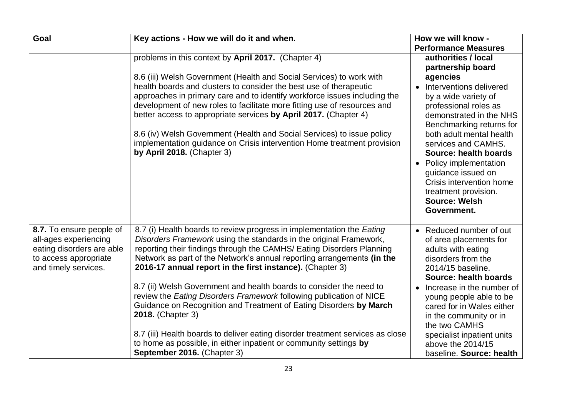| <b>Goal</b>                                                                                                                     | Key actions - How we will do it and when.                                                                                                                                                                                                                                                                                                                                                                                                                                                                                                                                                                                                                                                                                                                                                  | How we will know -                                                                                                                                                                                                                                                                                                                                                                                                         |
|---------------------------------------------------------------------------------------------------------------------------------|--------------------------------------------------------------------------------------------------------------------------------------------------------------------------------------------------------------------------------------------------------------------------------------------------------------------------------------------------------------------------------------------------------------------------------------------------------------------------------------------------------------------------------------------------------------------------------------------------------------------------------------------------------------------------------------------------------------------------------------------------------------------------------------------|----------------------------------------------------------------------------------------------------------------------------------------------------------------------------------------------------------------------------------------------------------------------------------------------------------------------------------------------------------------------------------------------------------------------------|
|                                                                                                                                 |                                                                                                                                                                                                                                                                                                                                                                                                                                                                                                                                                                                                                                                                                                                                                                                            | <b>Performance Measures</b>                                                                                                                                                                                                                                                                                                                                                                                                |
|                                                                                                                                 | problems in this context by April 2017. (Chapter 4)<br>8.6 (iii) Welsh Government (Health and Social Services) to work with<br>health boards and clusters to consider the best use of therapeutic<br>approaches in primary care and to identify workforce issues including the<br>development of new roles to facilitate more fitting use of resources and<br>better access to appropriate services by April 2017. (Chapter 4)<br>8.6 (iv) Welsh Government (Health and Social Services) to issue policy<br>implementation guidance on Crisis intervention Home treatment provision<br>by April 2018. (Chapter 3)                                                                                                                                                                          | authorities / local<br>partnership board<br>agencies<br>Interventions delivered<br>$\bullet$<br>by a wide variety of<br>professional roles as<br>demonstrated in the NHS<br>Benchmarking returns for<br>both adult mental health<br>services and CAMHS.<br>Source: health boards<br>Policy implementation<br>guidance issued on<br>Crisis intervention home<br>treatment provision.<br><b>Source: Welsh</b><br>Government. |
| 8.7. To ensure people of<br>all-ages experiencing<br>eating disorders are able<br>to access appropriate<br>and timely services. | 8.7 (i) Health boards to review progress in implementation the Eating<br>Disorders Framework using the standards in the original Framework,<br>reporting their findings through the CAMHS/ Eating Disorders Planning<br>Network as part of the Network's annual reporting arrangements (in the<br>2016-17 annual report in the first instance). (Chapter 3)<br>8.7 (ii) Welsh Government and health boards to consider the need to<br>review the Eating Disorders Framework following publication of NICE<br>Guidance on Recognition and Treatment of Eating Disorders by March<br>2018. (Chapter 3)<br>8.7 (iii) Health boards to deliver eating disorder treatment services as close<br>to home as possible, in either inpatient or community settings by<br>September 2016. (Chapter 3) | • Reduced number of out<br>of area placements for<br>adults with eating<br>disorders from the<br>2014/15 baseline.<br>Source: health boards<br>Increase in the number of<br>$\bullet$<br>young people able to be<br>cared for in Wales either<br>in the community or in<br>the two CAMHS<br>specialist inpatient units<br>above the 2014/15<br>baseline. Source: health                                                    |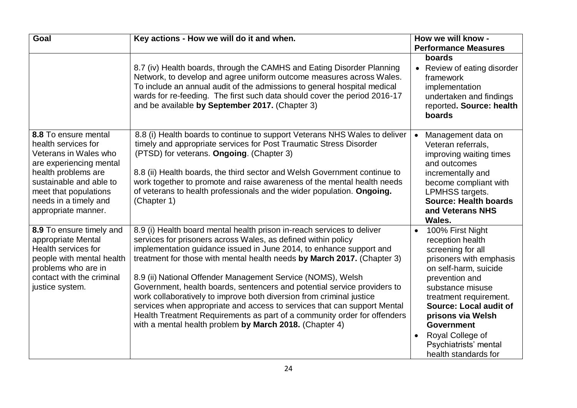| Goal                                                                                                                                                                                                                       | Key actions - How we will do it and when.                                                                                                                                                                                                                                                                                                                                                                                                                                                                                                                                                                                                                                                                                       | How we will know -                                                                                                                                                                                                                                                                                                                                      |
|----------------------------------------------------------------------------------------------------------------------------------------------------------------------------------------------------------------------------|---------------------------------------------------------------------------------------------------------------------------------------------------------------------------------------------------------------------------------------------------------------------------------------------------------------------------------------------------------------------------------------------------------------------------------------------------------------------------------------------------------------------------------------------------------------------------------------------------------------------------------------------------------------------------------------------------------------------------------|---------------------------------------------------------------------------------------------------------------------------------------------------------------------------------------------------------------------------------------------------------------------------------------------------------------------------------------------------------|
|                                                                                                                                                                                                                            |                                                                                                                                                                                                                                                                                                                                                                                                                                                                                                                                                                                                                                                                                                                                 | <b>Performance Measures</b>                                                                                                                                                                                                                                                                                                                             |
|                                                                                                                                                                                                                            | 8.7 (iv) Health boards, through the CAMHS and Eating Disorder Planning<br>Network, to develop and agree uniform outcome measures across Wales.<br>To include an annual audit of the admissions to general hospital medical<br>wards for re-feeding. The first such data should cover the period 2016-17<br>and be available by September 2017. (Chapter 3)                                                                                                                                                                                                                                                                                                                                                                      | boards<br>• Review of eating disorder<br>framework<br>implementation<br>undertaken and findings<br>reported. Source: health<br>boards                                                                                                                                                                                                                   |
| 8.8 To ensure mental<br>health services for<br>Veterans in Wales who<br>are experiencing mental<br>health problems are<br>sustainable and able to<br>meet that populations<br>needs in a timely and<br>appropriate manner. | 8.8 (i) Health boards to continue to support Veterans NHS Wales to deliver<br>timely and appropriate services for Post Traumatic Stress Disorder<br>(PTSD) for veterans. Ongoing. (Chapter 3)<br>8.8 (ii) Health boards, the third sector and Welsh Government continue to<br>work together to promote and raise awareness of the mental health needs<br>of veterans to health professionals and the wider population. Ongoing.<br>(Chapter 1)                                                                                                                                                                                                                                                                                  | Management data on<br>$\bullet$<br>Veteran referrals,<br>improving waiting times<br>and outcomes<br>incrementally and<br>become compliant with<br><b>LPMHSS targets.</b><br><b>Source: Health boards</b><br>and Veterans NHS<br>Wales.                                                                                                                  |
| 8.9 To ensure timely and<br>appropriate Mental<br>Health services for<br>people with mental health<br>problems who are in<br>contact with the criminal<br>justice system.                                                  | 8.9 (i) Health board mental health prison in-reach services to deliver<br>services for prisoners across Wales, as defined within policy<br>implementation guidance issued in June 2014, to enhance support and<br>treatment for those with mental health needs by March 2017. (Chapter 3)<br>8.9 (ii) National Offender Management Service (NOMS), Welsh<br>Government, health boards, sentencers and potential service providers to<br>work collaboratively to improve both diversion from criminal justice<br>services when appropriate and access to services that can support Mental<br>Health Treatment Requirements as part of a community order for offenders<br>with a mental health problem by March 2018. (Chapter 4) | 100% First Night<br>$\bullet$<br>reception health<br>screening for all<br>prisoners with emphasis<br>on self-harm, suicide<br>prevention and<br>substance misuse<br>treatment requirement.<br><b>Source: Local audit of</b><br>prisons via Welsh<br><b>Government</b><br>Royal College of<br>$\bullet$<br>Psychiatrists' mental<br>health standards for |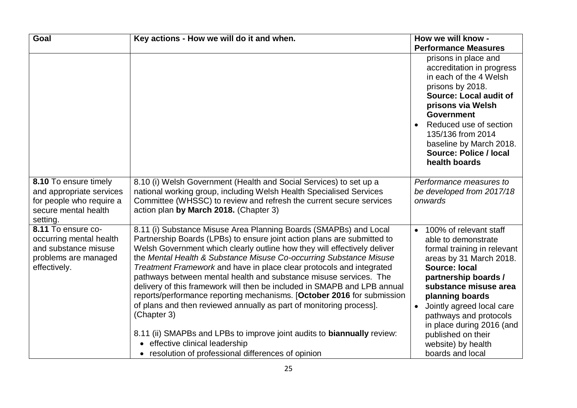| Goal                                                                                                              | Key actions - How we will do it and when.                                                                                                                                                                                                                                                                                                                                                                                                                                                                                                                                                                                                                                                                                                                                                                                                                           | How we will know -                                                                                                                                                                                                                                                                                                                                                   |
|-------------------------------------------------------------------------------------------------------------------|---------------------------------------------------------------------------------------------------------------------------------------------------------------------------------------------------------------------------------------------------------------------------------------------------------------------------------------------------------------------------------------------------------------------------------------------------------------------------------------------------------------------------------------------------------------------------------------------------------------------------------------------------------------------------------------------------------------------------------------------------------------------------------------------------------------------------------------------------------------------|----------------------------------------------------------------------------------------------------------------------------------------------------------------------------------------------------------------------------------------------------------------------------------------------------------------------------------------------------------------------|
|                                                                                                                   |                                                                                                                                                                                                                                                                                                                                                                                                                                                                                                                                                                                                                                                                                                                                                                                                                                                                     | <b>Performance Measures</b>                                                                                                                                                                                                                                                                                                                                          |
|                                                                                                                   |                                                                                                                                                                                                                                                                                                                                                                                                                                                                                                                                                                                                                                                                                                                                                                                                                                                                     | prisons in place and<br>accreditation in progress<br>in each of the 4 Welsh<br>prisons by 2018.<br><b>Source: Local audit of</b><br>prisons via Welsh<br><b>Government</b><br>Reduced use of section<br>$\bullet$<br>135/136 from 2014<br>baseline by March 2018.<br><b>Source: Police / local</b><br>health boards                                                  |
| 8.10 To ensure timely<br>and appropriate services<br>for people who require a<br>secure mental health<br>setting. | 8.10 (i) Welsh Government (Health and Social Services) to set up a<br>national working group, including Welsh Health Specialised Services<br>Committee (WHSSC) to review and refresh the current secure services<br>action plan by March 2018. (Chapter 3)                                                                                                                                                                                                                                                                                                                                                                                                                                                                                                                                                                                                          | Performance measures to<br>be developed from 2017/18<br>onwards                                                                                                                                                                                                                                                                                                      |
| 8.11 To ensure co-<br>occurring mental health<br>and substance misuse<br>problems are managed<br>effectively.     | 8.11 (i) Substance Misuse Area Planning Boards (SMAPBs) and Local<br>Partnership Boards (LPBs) to ensure joint action plans are submitted to<br>Welsh Government which clearly outline how they will effectively deliver<br>the Mental Health & Substance Misuse Co-occurring Substance Misuse<br>Treatment Framework and have in place clear protocols and integrated<br>pathways between mental health and substance misuse services. The<br>delivery of this framework will then be included in SMAPB and LPB annual<br>reports/performance reporting mechanisms. [October 2016 for submission<br>of plans and then reviewed annually as part of monitoring process].<br>(Chapter 3)<br>8.11 (ii) SMAPBs and LPBs to improve joint audits to <b>biannually</b> review:<br>• effective clinical leadership<br>• resolution of professional differences of opinion | 100% of relevant staff<br>$\bullet$<br>able to demonstrate<br>formal training in relevant<br>areas by 31 March 2018.<br><b>Source: local</b><br>partnership boards /<br>substance misuse area<br>planning boards<br>Jointly agreed local care<br>pathways and protocols<br>in place during 2016 (and<br>published on their<br>website) by health<br>boards and local |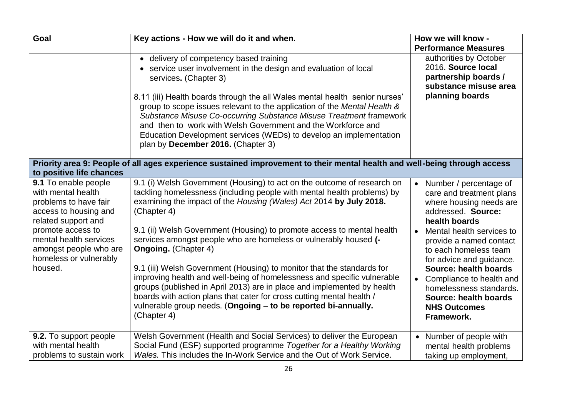| Goal                                                                                                                | Key actions - How we will do it and when.                                                                                                                                                                                                                                                                                                                                                                 | How we will know -                                                                                                                              |
|---------------------------------------------------------------------------------------------------------------------|-----------------------------------------------------------------------------------------------------------------------------------------------------------------------------------------------------------------------------------------------------------------------------------------------------------------------------------------------------------------------------------------------------------|-------------------------------------------------------------------------------------------------------------------------------------------------|
|                                                                                                                     |                                                                                                                                                                                                                                                                                                                                                                                                           | <b>Performance Measures</b>                                                                                                                     |
|                                                                                                                     | • delivery of competency based training<br>• service user involvement in the design and evaluation of local<br>services. (Chapter 3)                                                                                                                                                                                                                                                                      | authorities by October<br>2016. Source local<br>partnership boards /<br>substance misuse area                                                   |
|                                                                                                                     | 8.11 (iii) Health boards through the all Wales mental health senior nurses'<br>group to scope issues relevant to the application of the Mental Health &<br>Substance Misuse Co-occurring Substance Misuse Treatment framework<br>and then to work with Welsh Government and the Workforce and<br>Education Development services (WEDs) to develop an implementation<br>plan by December 2016. (Chapter 3) | planning boards                                                                                                                                 |
| to positive life chances                                                                                            | Priority area 9: People of all ages experience sustained improvement to their mental health and well-being through access                                                                                                                                                                                                                                                                                 |                                                                                                                                                 |
| 9.1 To enable people<br>with mental health<br>problems to have fair<br>access to housing and<br>related support and | 9.1 (i) Welsh Government (Housing) to act on the outcome of research on<br>tackling homelessness (including people with mental health problems) by<br>examining the impact of the Housing (Wales) Act 2014 by July 2018.<br>(Chapter 4)                                                                                                                                                                   | Number / percentage of<br>$\bullet$<br>care and treatment plans<br>where housing needs are<br>addressed. Source:<br>health boards               |
| promote access to<br>mental health services<br>amongst people who are<br>homeless or vulnerably<br>housed.          | 9.1 (ii) Welsh Government (Housing) to promote access to mental health<br>services amongst people who are homeless or vulnerably housed (-<br><b>Ongoing.</b> (Chapter 4)<br>9.1 (iii) Welsh Government (Housing) to monitor that the standards for                                                                                                                                                       | Mental health services to<br>$\bullet$<br>provide a named contact<br>to each homeless team<br>for advice and guidance.<br>Source: health boards |
|                                                                                                                     | improving health and well-being of homelessness and specific vulnerable<br>groups (published in April 2013) are in place and implemented by health<br>boards with action plans that cater for cross cutting mental health /<br>vulnerable group needs. (Ongoing - to be reported bi-annually.<br>(Chapter 4)                                                                                              | Compliance to health and<br>$\bullet$<br>homelessness standards.<br><b>Source: health boards</b><br><b>NHS Outcomes</b><br>Framework.           |
| 9.2. To support people<br>with mental health<br>problems to sustain work                                            | Welsh Government (Health and Social Services) to deliver the European<br>Social Fund (ESF) supported programme Together for a Healthy Working<br>Wales. This includes the In-Work Service and the Out of Work Service.                                                                                                                                                                                    | Number of people with<br>$\bullet$<br>mental health problems<br>taking up employment,                                                           |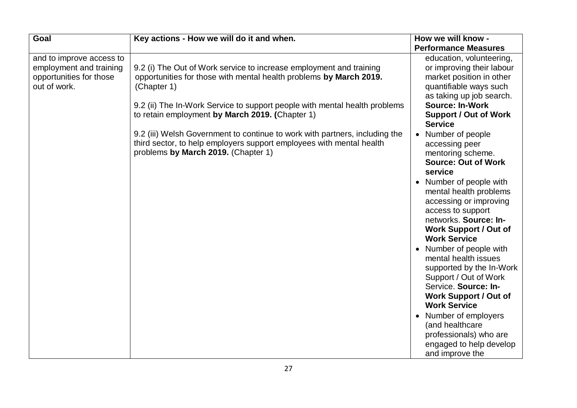| Goal                                                                                           | Key actions - How we will do it and when.                                                                                                                                                                                                                                                 | How we will know -                                                                                                                                                                                                  |
|------------------------------------------------------------------------------------------------|-------------------------------------------------------------------------------------------------------------------------------------------------------------------------------------------------------------------------------------------------------------------------------------------|---------------------------------------------------------------------------------------------------------------------------------------------------------------------------------------------------------------------|
|                                                                                                |                                                                                                                                                                                                                                                                                           | <b>Performance Measures</b>                                                                                                                                                                                         |
| and to improve access to<br>employment and training<br>opportunities for those<br>out of work. | 9.2 (i) The Out of Work service to increase employment and training<br>opportunities for those with mental health problems by March 2019.<br>(Chapter 1)<br>9.2 (ii) The In-Work Service to support people with mental health problems<br>to retain employment by March 2019. (Chapter 1) | education, volunteering,<br>or improving their labour<br>market position in other<br>quantifiable ways such<br>as taking up job search.<br><b>Source: In-Work</b><br><b>Support / Out of Work</b><br><b>Service</b> |
|                                                                                                | 9.2 (iii) Welsh Government to continue to work with partners, including the<br>third sector, to help employers support employees with mental health<br>problems by March 2019. (Chapter 1)                                                                                                | Number of people<br>accessing peer<br>mentoring scheme.<br><b>Source: Out of Work</b><br>service                                                                                                                    |
|                                                                                                |                                                                                                                                                                                                                                                                                           | Number of people with<br>$\bullet$<br>mental health problems<br>accessing or improving<br>access to support<br>networks. Source: In-<br><b>Work Support / Out of</b><br><b>Work Service</b>                         |
|                                                                                                |                                                                                                                                                                                                                                                                                           | Number of people with<br>mental health issues<br>supported by the In-Work<br>Support / Out of Work<br>Service. Source: In-<br><b>Work Support / Out of</b><br><b>Work Service</b>                                   |
|                                                                                                |                                                                                                                                                                                                                                                                                           | Number of employers<br>(and healthcare<br>professionals) who are<br>engaged to help develop<br>and improve the                                                                                                      |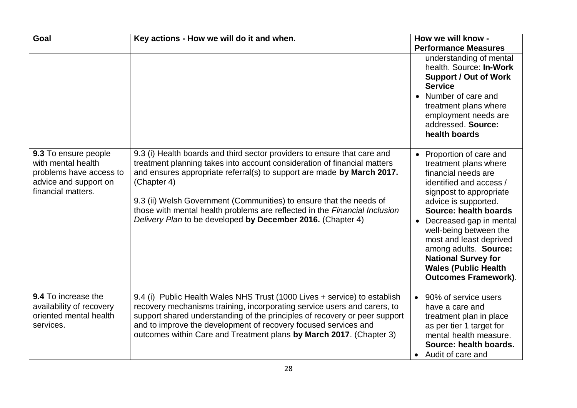| Goal                                                                                                                 | Key actions - How we will do it and when.                                                                                                                                                                                                                                                                                                                                                                                                                         | How we will know -                                                                                                                                                                                                                                                                                                                                                                   |
|----------------------------------------------------------------------------------------------------------------------|-------------------------------------------------------------------------------------------------------------------------------------------------------------------------------------------------------------------------------------------------------------------------------------------------------------------------------------------------------------------------------------------------------------------------------------------------------------------|--------------------------------------------------------------------------------------------------------------------------------------------------------------------------------------------------------------------------------------------------------------------------------------------------------------------------------------------------------------------------------------|
|                                                                                                                      |                                                                                                                                                                                                                                                                                                                                                                                                                                                                   | <b>Performance Measures</b>                                                                                                                                                                                                                                                                                                                                                          |
|                                                                                                                      |                                                                                                                                                                                                                                                                                                                                                                                                                                                                   | understanding of mental<br>health. Source: In-Work<br><b>Support / Out of Work</b><br><b>Service</b><br>• Number of care and<br>treatment plans where<br>employment needs are<br>addressed. Source:<br>health boards                                                                                                                                                                 |
| 9.3 To ensure people<br>with mental health<br>problems have access to<br>advice and support on<br>financial matters. | 9.3 (i) Health boards and third sector providers to ensure that care and<br>treatment planning takes into account consideration of financial matters<br>and ensures appropriate referral(s) to support are made by March 2017.<br>(Chapter 4)<br>9.3 (ii) Welsh Government (Communities) to ensure that the needs of<br>those with mental health problems are reflected in the Financial Inclusion<br>Delivery Plan to be developed by December 2016. (Chapter 4) | • Proportion of care and<br>treatment plans where<br>financial needs are<br>identified and access /<br>signpost to appropriate<br>advice is supported.<br>Source: health boards<br>Decreased gap in mental<br>well-being between the<br>most and least deprived<br>among adults. Source:<br><b>National Survey for</b><br><b>Wales (Public Health</b><br><b>Outcomes Framework).</b> |
| 9.4 To increase the<br>availability of recovery<br>oriented mental health<br>services.                               | 9.4 (i) Public Health Wales NHS Trust (1000 Lives + service) to establish<br>recovery mechanisms training, incorporating service users and carers, to<br>support shared understanding of the principles of recovery or peer support<br>and to improve the development of recovery focused services and<br>outcomes within Care and Treatment plans by March 2017. (Chapter 3)                                                                                     | 90% of service users<br>$\bullet$<br>have a care and<br>treatment plan in place<br>as per tier 1 target for<br>mental health measure.<br>Source: health boards.<br>Audit of care and<br>$\bullet$                                                                                                                                                                                    |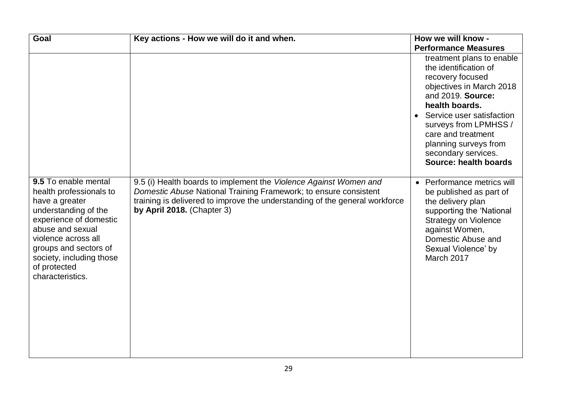| <b>Goal</b>                                                                                                                                                                                                                                             | Key actions - How we will do it and when.                                                                                                                                                                                                          | How we will know -                                                                                                                                                                                                                                                                                                 |
|---------------------------------------------------------------------------------------------------------------------------------------------------------------------------------------------------------------------------------------------------------|----------------------------------------------------------------------------------------------------------------------------------------------------------------------------------------------------------------------------------------------------|--------------------------------------------------------------------------------------------------------------------------------------------------------------------------------------------------------------------------------------------------------------------------------------------------------------------|
|                                                                                                                                                                                                                                                         |                                                                                                                                                                                                                                                    | <b>Performance Measures</b>                                                                                                                                                                                                                                                                                        |
|                                                                                                                                                                                                                                                         |                                                                                                                                                                                                                                                    | treatment plans to enable<br>the identification of<br>recovery focused<br>objectives in March 2018<br>and 2019. Source:<br>health boards.<br>Service user satisfaction<br>$\bullet$<br>surveys from LPMHSS /<br>care and treatment<br>planning surveys from<br>secondary services.<br><b>Source: health boards</b> |
| 9.5 To enable mental<br>health professionals to<br>have a greater<br>understanding of the<br>experience of domestic<br>abuse and sexual<br>violence across all<br>groups and sectors of<br>society, including those<br>of protected<br>characteristics. | 9.5 (i) Health boards to implement the Violence Against Women and<br>Domestic Abuse National Training Framework; to ensure consistent<br>training is delivered to improve the understanding of the general workforce<br>by April 2018. (Chapter 3) | • Performance metrics will<br>be published as part of<br>the delivery plan<br>supporting the 'National<br><b>Strategy on Violence</b><br>against Women,<br>Domestic Abuse and<br>Sexual Violence' by<br>March 2017                                                                                                 |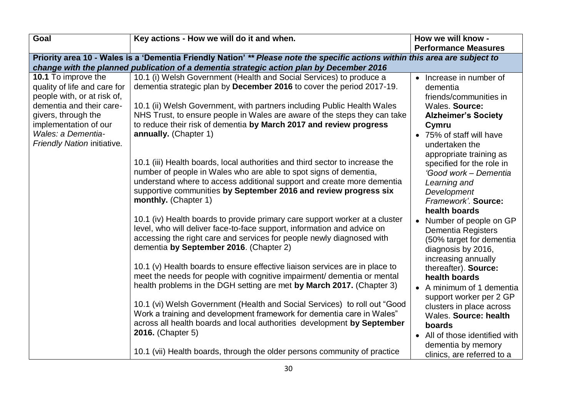| Goal                                                                                                           | Key actions - How we will do it and when.                                                                                                                                                                                                                                                                               | How we will know -                                                                                                           |
|----------------------------------------------------------------------------------------------------------------|-------------------------------------------------------------------------------------------------------------------------------------------------------------------------------------------------------------------------------------------------------------------------------------------------------------------------|------------------------------------------------------------------------------------------------------------------------------|
|                                                                                                                |                                                                                                                                                                                                                                                                                                                         | <b>Performance Measures</b>                                                                                                  |
|                                                                                                                | Priority area 10 - Wales is a 'Dementia Friendly Nation' ** Please note the specific actions within this area are subject to                                                                                                                                                                                            |                                                                                                                              |
|                                                                                                                | change with the planned publication of a dementia strategic action plan by December 2016                                                                                                                                                                                                                                |                                                                                                                              |
| 10.1 To improve the<br>quality of life and care for<br>people with, or at risk of,<br>dementia and their care- | 10.1 (i) Welsh Government (Health and Social Services) to produce a<br>dementia strategic plan by December 2016 to cover the period 2017-19.<br>10.1 (ii) Welsh Government, with partners including Public Health Wales                                                                                                 | Increase in number of<br>$\bullet$<br>dementia<br>friends/communities in<br>Wales. Source:                                   |
| givers, through the<br>implementation of our                                                                   | NHS Trust, to ensure people in Wales are aware of the steps they can take<br>to reduce their risk of dementia by March 2017 and review progress                                                                                                                                                                         | <b>Alzheimer's Society</b><br>Cymru                                                                                          |
| Wales: a Dementia-<br>Friendly Nation initiative.                                                              | annually. (Chapter 1)                                                                                                                                                                                                                                                                                                   | • 75% of staff will have<br>undertaken the<br>appropriate training as                                                        |
|                                                                                                                | 10.1 (iii) Health boards, local authorities and third sector to increase the<br>number of people in Wales who are able to spot signs of dementia,<br>understand where to access additional support and create more dementia<br>supportive communities by September 2016 and review progress six<br>monthly. (Chapter 1) | specified for the role in<br>'Good work - Dementia<br>Learning and<br>Development<br>Framework'. Source:<br>health boards    |
|                                                                                                                | 10.1 (iv) Health boards to provide primary care support worker at a cluster<br>level, who will deliver face-to-face support, information and advice on<br>accessing the right care and services for people newly diagnosed with<br>dementia by September 2016. (Chapter 2)                                              | Number of people on GP<br><b>Dementia Registers</b><br>(50% target for dementia<br>diagnosis by 2016,<br>increasing annually |
|                                                                                                                | 10.1 (v) Health boards to ensure effective liaison services are in place to<br>meet the needs for people with cognitive impairment/ dementia or mental<br>health problems in the DGH setting are met by March 2017. (Chapter 3)                                                                                         | thereafter). Source:<br>health boards<br>A minimum of 1 dementia                                                             |
|                                                                                                                | 10.1 (vi) Welsh Government (Health and Social Services) to roll out "Good<br>Work a training and development framework for dementia care in Wales"<br>across all health boards and local authorities development by September<br>2016. (Chapter 5)                                                                      | support worker per 2 GP<br>clusters in place across<br>Wales. Source: health<br>boards                                       |
|                                                                                                                | 10.1 (vii) Health boards, through the older persons community of practice                                                                                                                                                                                                                                               | • All of those identified with<br>dementia by memory<br>clinics, are referred to a                                           |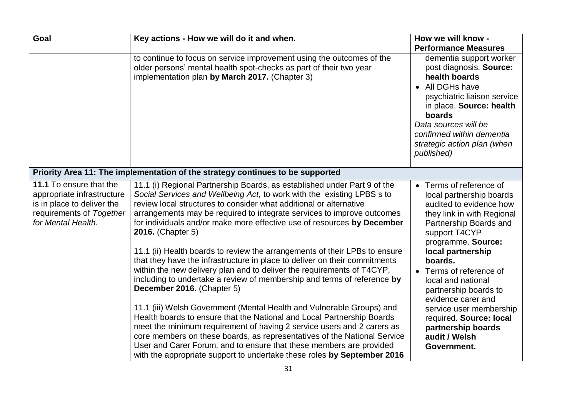| Goal                                                                                                                                  | Key actions - How we will do it and when.                                                                                                                                                                                                                                                                                                                                                                                                                                                                                                                                                                                                                                                                                                                                                                                                                                                                                                                                                                                                                                                                                                                                                                    | How we will know -                                                                                                                                                                                                                                                                                                                                                                                                        |
|---------------------------------------------------------------------------------------------------------------------------------------|--------------------------------------------------------------------------------------------------------------------------------------------------------------------------------------------------------------------------------------------------------------------------------------------------------------------------------------------------------------------------------------------------------------------------------------------------------------------------------------------------------------------------------------------------------------------------------------------------------------------------------------------------------------------------------------------------------------------------------------------------------------------------------------------------------------------------------------------------------------------------------------------------------------------------------------------------------------------------------------------------------------------------------------------------------------------------------------------------------------------------------------------------------------------------------------------------------------|---------------------------------------------------------------------------------------------------------------------------------------------------------------------------------------------------------------------------------------------------------------------------------------------------------------------------------------------------------------------------------------------------------------------------|
|                                                                                                                                       |                                                                                                                                                                                                                                                                                                                                                                                                                                                                                                                                                                                                                                                                                                                                                                                                                                                                                                                                                                                                                                                                                                                                                                                                              | <b>Performance Measures</b>                                                                                                                                                                                                                                                                                                                                                                                               |
|                                                                                                                                       | to continue to focus on service improvement using the outcomes of the<br>older persons' mental health spot-checks as part of their two year<br>implementation plan by March 2017. (Chapter 3)                                                                                                                                                                                                                                                                                                                                                                                                                                                                                                                                                                                                                                                                                                                                                                                                                                                                                                                                                                                                                | dementia support worker<br>post diagnosis. Source:<br>health boards<br>All DGHs have<br>$\bullet$<br>psychiatric liaison service<br>in place. Source: health<br>boards<br>Data sources will be<br>confirmed within dementia<br>strategic action plan (when<br>published)                                                                                                                                                  |
|                                                                                                                                       | Priority Area 11: The implementation of the strategy continues to be supported                                                                                                                                                                                                                                                                                                                                                                                                                                                                                                                                                                                                                                                                                                                                                                                                                                                                                                                                                                                                                                                                                                                               |                                                                                                                                                                                                                                                                                                                                                                                                                           |
| 11.1 To ensure that the<br>appropriate infrastructure<br>is in place to deliver the<br>requirements of Together<br>for Mental Health. | 11.1 (i) Regional Partnership Boards, as established under Part 9 of the<br>Social Services and Wellbeing Act, to work with the existing LPBS s to<br>review local structures to consider what additional or alternative<br>arrangements may be required to integrate services to improve outcomes<br>for individuals and/or make more effective use of resources by December<br>2016. (Chapter 5)<br>11.1 (ii) Health boards to review the arrangements of their LPBs to ensure<br>that they have the infrastructure in place to deliver on their commitments<br>within the new delivery plan and to deliver the requirements of T4CYP,<br>including to undertake a review of membership and terms of reference by<br>December 2016. (Chapter 5)<br>11.1 (iii) Welsh Government (Mental Health and Vulnerable Groups) and<br>Health boards to ensure that the National and Local Partnership Boards<br>meet the minimum requirement of having 2 service users and 2 carers as<br>core members on these boards, as representatives of the National Service<br>User and Carer Forum, and to ensure that these members are provided<br>with the appropriate support to undertake these roles by September 2016 | • Terms of reference of<br>local partnership boards<br>audited to evidence how<br>they link in with Regional<br>Partnership Boards and<br>support T4CYP<br>programme. Source:<br>local partnership<br>boards.<br>• Terms of reference of<br>local and national<br>partnership boards to<br>evidence carer and<br>service user membership<br>required. Source: local<br>partnership boards<br>audit / Welsh<br>Government. |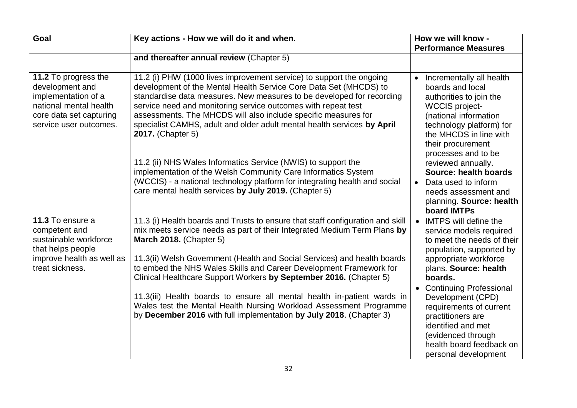| Goal                                                                                                                                          | Key actions - How we will do it and when.                                                                                                                                                                                                                                                                                                                                                                                                                                                                                                                                                                                                                                                                                             | How we will know -                                                                                                                                                                                                                                                                                                                                                          |
|-----------------------------------------------------------------------------------------------------------------------------------------------|---------------------------------------------------------------------------------------------------------------------------------------------------------------------------------------------------------------------------------------------------------------------------------------------------------------------------------------------------------------------------------------------------------------------------------------------------------------------------------------------------------------------------------------------------------------------------------------------------------------------------------------------------------------------------------------------------------------------------------------|-----------------------------------------------------------------------------------------------------------------------------------------------------------------------------------------------------------------------------------------------------------------------------------------------------------------------------------------------------------------------------|
|                                                                                                                                               |                                                                                                                                                                                                                                                                                                                                                                                                                                                                                                                                                                                                                                                                                                                                       | <b>Performance Measures</b>                                                                                                                                                                                                                                                                                                                                                 |
|                                                                                                                                               | and thereafter annual review (Chapter 5)                                                                                                                                                                                                                                                                                                                                                                                                                                                                                                                                                                                                                                                                                              |                                                                                                                                                                                                                                                                                                                                                                             |
| 11.2 To progress the<br>development and<br>implementation of a<br>national mental health<br>core data set capturing<br>service user outcomes. | 11.2 (i) PHW (1000 lives improvement service) to support the ongoing<br>development of the Mental Health Service Core Data Set (MHCDS) to<br>standardise data measures. New measures to be developed for recording<br>service need and monitoring service outcomes with repeat test<br>assessments. The MHCDS will also include specific measures for<br>specialist CAMHS, adult and older adult mental health services by April<br><b>2017.</b> (Chapter 5)<br>11.2 (ii) NHS Wales Informatics Service (NWIS) to support the<br>implementation of the Welsh Community Care Informatics System<br>(WCCIS) - a national technology platform for integrating health and social<br>care mental health services by July 2019. (Chapter 5) | Incrementally all health<br>boards and local<br>authorities to join the<br><b>WCCIS project-</b><br>(national information<br>technology platform) for<br>the MHCDS in line with<br>their procurement<br>processes and to be<br>reviewed annually.<br>Source: health boards<br>Data used to inform<br>$\bullet$<br>needs assessment and                                      |
|                                                                                                                                               |                                                                                                                                                                                                                                                                                                                                                                                                                                                                                                                                                                                                                                                                                                                                       | planning. Source: health<br>board IMTPs                                                                                                                                                                                                                                                                                                                                     |
| 11.3 To ensure a<br>competent and<br>sustainable workforce<br>that helps people<br>improve health as well as<br>treat sickness.               | 11.3 (i) Health boards and Trusts to ensure that staff configuration and skill<br>mix meets service needs as part of their Integrated Medium Term Plans by<br><b>March 2018.</b> (Chapter 5)<br>11.3(ii) Welsh Government (Health and Social Services) and health boards<br>to embed the NHS Wales Skills and Career Development Framework for<br>Clinical Healthcare Support Workers by September 2016. (Chapter 5)<br>11.3(iii) Health boards to ensure all mental health in-patient wards in<br>Wales test the Mental Health Nursing Workload Assessment Programme<br>by December 2016 with full implementation by July 2018. (Chapter 3)                                                                                          | • IMTPS will define the<br>service models required<br>to meet the needs of their<br>population, supported by<br>appropriate workforce<br>plans. Source: health<br>boards.<br>• Continuing Professional<br>Development (CPD)<br>requirements of current<br>practitioners are<br>identified and met<br>(evidenced through<br>health board feedback on<br>personal development |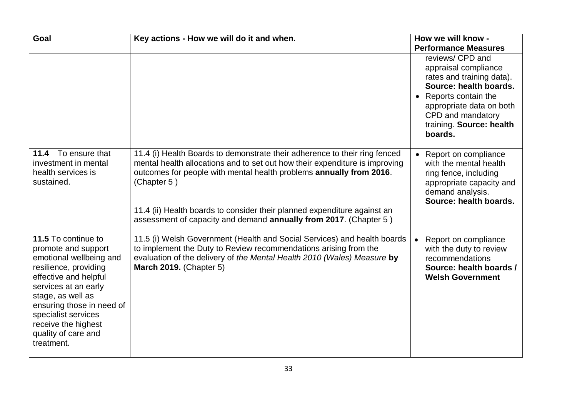| Goal                                                                                                                                                                                                                                                                                 | Key actions - How we will do it and when.                                                                                                                                                                                                                                                                                                                                                        | How we will know -                                                                                                                                                                                             |
|--------------------------------------------------------------------------------------------------------------------------------------------------------------------------------------------------------------------------------------------------------------------------------------|--------------------------------------------------------------------------------------------------------------------------------------------------------------------------------------------------------------------------------------------------------------------------------------------------------------------------------------------------------------------------------------------------|----------------------------------------------------------------------------------------------------------------------------------------------------------------------------------------------------------------|
|                                                                                                                                                                                                                                                                                      |                                                                                                                                                                                                                                                                                                                                                                                                  | <b>Performance Measures</b>                                                                                                                                                                                    |
|                                                                                                                                                                                                                                                                                      |                                                                                                                                                                                                                                                                                                                                                                                                  | reviews/ CPD and<br>appraisal compliance<br>rates and training data).<br>Source: health boards.<br>Reports contain the<br>appropriate data on both<br>CPD and mandatory<br>training. Source: health<br>boards. |
| To ensure that<br>11.4<br>investment in mental<br>health services is<br>sustained.                                                                                                                                                                                                   | 11.4 (i) Health Boards to demonstrate their adherence to their ring fenced<br>mental health allocations and to set out how their expenditure is improving<br>outcomes for people with mental health problems annually from 2016.<br>(Chapter 5)<br>11.4 (ii) Health boards to consider their planned expenditure against an<br>assessment of capacity and demand annually from 2017. (Chapter 5) | • Report on compliance<br>with the mental health<br>ring fence, including<br>appropriate capacity and<br>demand analysis.<br>Source: health boards.                                                            |
| 11.5 To continue to<br>promote and support<br>emotional wellbeing and<br>resilience, providing<br>effective and helpful<br>services at an early<br>stage, as well as<br>ensuring those in need of<br>specialist services<br>receive the highest<br>quality of care and<br>treatment. | 11.5 (i) Welsh Government (Health and Social Services) and health boards<br>to implement the Duty to Review recommendations arising from the<br>evaluation of the delivery of the Mental Health 2010 (Wales) Measure by<br><b>March 2019.</b> (Chapter 5)                                                                                                                                        | Report on compliance<br>$\bullet$<br>with the duty to review<br>recommendations<br>Source: health boards /<br><b>Welsh Government</b>                                                                          |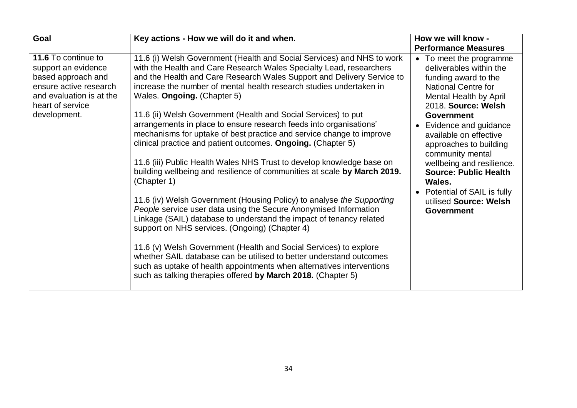| Goal                                                                                                                                                       | Key actions - How we will do it and when.                                                                                                                                                                                                                                                                                                                                                                                                                                                                                                                                                                                                                                                                                                                                                                                                                                                                                                 | How we will know -                                                                                                                                                                                                                                             |
|------------------------------------------------------------------------------------------------------------------------------------------------------------|-------------------------------------------------------------------------------------------------------------------------------------------------------------------------------------------------------------------------------------------------------------------------------------------------------------------------------------------------------------------------------------------------------------------------------------------------------------------------------------------------------------------------------------------------------------------------------------------------------------------------------------------------------------------------------------------------------------------------------------------------------------------------------------------------------------------------------------------------------------------------------------------------------------------------------------------|----------------------------------------------------------------------------------------------------------------------------------------------------------------------------------------------------------------------------------------------------------------|
|                                                                                                                                                            |                                                                                                                                                                                                                                                                                                                                                                                                                                                                                                                                                                                                                                                                                                                                                                                                                                                                                                                                           | <b>Performance Measures</b>                                                                                                                                                                                                                                    |
| 11.6 To continue to<br>support an evidence<br>based approach and<br>ensure active research<br>and evaluation is at the<br>heart of service<br>development. | 11.6 (i) Welsh Government (Health and Social Services) and NHS to work<br>with the Health and Care Research Wales Specialty Lead, researchers<br>and the Health and Care Research Wales Support and Delivery Service to<br>increase the number of mental health research studies undertaken in<br>Wales. Ongoing. (Chapter 5)<br>11.6 (ii) Welsh Government (Health and Social Services) to put                                                                                                                                                                                                                                                                                                                                                                                                                                                                                                                                           | • To meet the programme<br>deliverables within the<br>funding award to the<br><b>National Centre for</b><br>Mental Health by April<br>2018. Source: Welsh<br><b>Government</b>                                                                                 |
|                                                                                                                                                            | arrangements in place to ensure research feeds into organisations'<br>mechanisms for uptake of best practice and service change to improve<br>clinical practice and patient outcomes. Ongoing. (Chapter 5)<br>11.6 (iii) Public Health Wales NHS Trust to develop knowledge base on<br>building wellbeing and resilience of communities at scale by March 2019.<br>(Chapter 1)<br>11.6 (iv) Welsh Government (Housing Policy) to analyse the Supporting<br>People service user data using the Secure Anonymised Information<br>Linkage (SAIL) database to understand the impact of tenancy related<br>support on NHS services. (Ongoing) (Chapter 4)<br>11.6 (v) Welsh Government (Health and Social Services) to explore<br>whether SAIL database can be utilised to better understand outcomes<br>such as uptake of health appointments when alternatives interventions<br>such as talking therapies offered by March 2018. (Chapter 5) | Evidence and guidance<br>$\bullet$<br>available on effective<br>approaches to building<br>community mental<br>wellbeing and resilience.<br><b>Source: Public Health</b><br>Wales.<br>Potential of SAIL is fully<br>utilised Source: Welsh<br><b>Government</b> |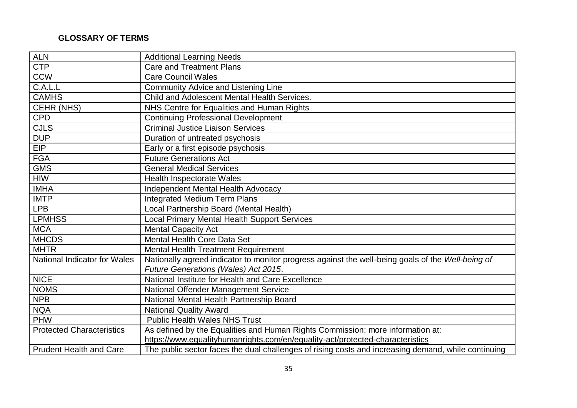#### **GLOSSARY OF TERMS**

| <b>ALN</b>                          | <b>Additional Learning Needs</b>                                                                                                                                |
|-------------------------------------|-----------------------------------------------------------------------------------------------------------------------------------------------------------------|
| <b>CTP</b>                          | <b>Care and Treatment Plans</b>                                                                                                                                 |
| <b>CCW</b>                          | <b>Care Council Wales</b>                                                                                                                                       |
| C.A.L.L                             | Community Advice and Listening Line                                                                                                                             |
| <b>CAMHS</b>                        | Child and Adolescent Mental Health Services.                                                                                                                    |
| <b>CEHR (NHS)</b>                   | NHS Centre for Equalities and Human Rights                                                                                                                      |
| <b>CPD</b>                          | <b>Continuing Professional Development</b>                                                                                                                      |
| <b>CJLS</b>                         | <b>Criminal Justice Liaison Services</b>                                                                                                                        |
| <b>DUP</b>                          | Duration of untreated psychosis                                                                                                                                 |
| EIP                                 | Early or a first episode psychosis                                                                                                                              |
| <b>FGA</b>                          | <b>Future Generations Act</b>                                                                                                                                   |
| <b>GMS</b>                          | <b>General Medical Services</b>                                                                                                                                 |
| <b>HIW</b>                          | <b>Health Inspectorate Wales</b>                                                                                                                                |
| <b>IMHA</b>                         | Independent Mental Health Advocacy                                                                                                                              |
| <b>IMTP</b>                         | <b>Integrated Medium Term Plans</b>                                                                                                                             |
| <b>LPB</b>                          | Local Partnership Board (Mental Health)                                                                                                                         |
| <b>LPMHSS</b>                       | <b>Local Primary Mental Health Support Services</b>                                                                                                             |
| <b>MCA</b>                          | <b>Mental Capacity Act</b>                                                                                                                                      |
| <b>MHCDS</b>                        | Mental Health Core Data Set                                                                                                                                     |
| <b>MHTR</b>                         | Mental Health Treatment Requirement                                                                                                                             |
| <b>National Indicator for Wales</b> | Nationally agreed indicator to monitor progress against the well-being goals of the Well-being of                                                               |
| <b>NICE</b>                         | Future Generations (Wales) Act 2015.<br>National Institute for Health and Care Excellence                                                                       |
| <b>NOMS</b>                         | National Offender Management Service                                                                                                                            |
| <b>NPB</b>                          | National Mental Health Partnership Board                                                                                                                        |
| <b>NQA</b>                          | <b>National Quality Award</b>                                                                                                                                   |
| <b>PHW</b>                          | <b>Public Health Wales NHS Trust</b>                                                                                                                            |
|                                     |                                                                                                                                                                 |
| <b>Protected Characteristics</b>    | As defined by the Equalities and Human Rights Commission: more information at:<br>https://www.equalityhumanrights.com/en/equality-act/protected-characteristics |
|                                     |                                                                                                                                                                 |
| <b>Prudent Health and Care</b>      | The public sector faces the dual challenges of rising costs and increasing demand, while continuing                                                             |